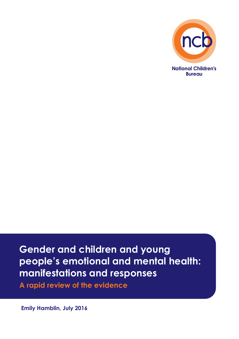

# **Gender and children and young people's emotional and mental health: manifestations and responses**

**A rapid review of the evidence**

**Emily Hamblin, July 2016**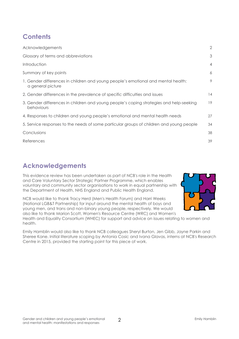# **Contents**

| Acknowledgements                                                                                       | $\overline{2}$ |
|--------------------------------------------------------------------------------------------------------|----------------|
| Glossary of terms and abbreviations                                                                    | 3              |
| Introduction                                                                                           | $\overline{4}$ |
| Summary of key points                                                                                  | 6              |
| 1. Gender differences in children and young people's emotional and mental health:<br>a general picture | 9              |
| 2. Gender differences in the prevalence of specific difficulties and issues                            | 14             |
| 3. Gender differences in children and young people's coping strategies and help-seeking<br>behaviours  | 19             |
| 4. Responses to children and young people's emotional and mental health needs                          | 27             |
| 5. Service responses to the needs of some particular groups of children and young people               | 34             |
| Conclusions                                                                                            | 38             |
| References                                                                                             | 39             |

# **Acknowledgements**

This evidence review has been undertaken as part of NCB's role in the Health and Care Voluntary Sector Strategic Partner Programme, which enables voluntary and community sector organisations to work in equal partnership with the Department of Health, NHS England and Public Health England.





Health and Equality Consortium (WHEC) for support and advice on issues relating to women and health.

Emily Hamblin would also like to thank NCB colleagues Sheryl Burton, Jen Gibb, Jayne Parkin and Sheree Kane. Initial literature scoping by Antonia Cosic and Ivana Glavas, interns at NCB's Research Centre in 2015, provided the starting point for this piece of work.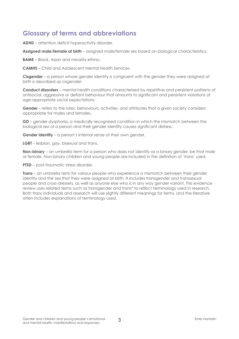# **Glossary of terms and abbreviations**

**ADHD** – attention deficit hyperactivity disorder.

**Assigned male/female at birth** – assigned male/female sex based on biological characteristics.

**BAME** – Black, Asian and minority ethnic.

**CAMHS** – Child and Adolescent Mental Health Services.

**Cisgender** – a person whose gender identity is congruent with the gender they were assigned at birth is described as cisgender.

**Conduct disorders** – mental health conditions characterised by repetitive and persistent patterns of antisocial, aggressive or defiant behaviour that amounts to significant and persistent violations of age-appropriate social expectations.

Gender – refers to the roles, behaviours, activities, and attributes that a given society considers appropriate for males and females.

**GD** – gender dysphoria, a medically recognised condition in which the mismatch between the biological sex of a person and their gender identity causes significant distress.

**Gender identity** – a person's internal sense of their own gender.

**LGBT** – lesbian, gay, bisexual and trans.

**Non-binary** – an umbrella term for a person who does not identify as a binary gender, be that male or female. Non-binary children and young people are included in the definition of 'trans' used.

**PTSD** – post-traumatic stress disorder.

**Trans** – an umbrella term for various people who experience a mismatch between their gender identity and the sex that they were assigned at birth. It includes transgender and transsexual people and cross-dressers, as well as anyone else who is in any way gender variant. This evidence review uses related terms such as transgender and trans\* to reflect terminology used in research. Both trans individuals and research will use slightly different meanings for terms, and the literature often includes explanations of terminology used.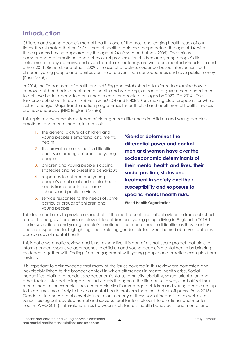# **Introduction**

Children and young people's mental health is one of the most challenging health issues of our times. It is estimated that half of all mental health problems emerge before the age of 14, with three quarters having appeared by the age of 24 (Kessler and others 2005). The serious consequences of emotional and behavioural problems for children and young people's life outcomes in many domains, and even their life expectancy, are well-documented (Goodman and others 2011; Richards and others 2009). The use of effective, evidence-based interventions with children, young people and families can help to avert such consequences and save public money (Khan 2016).

In 2014, the Department of Health and NHS England established a taskforce to examine how to improve child and adolescent mental health and wellbeing, as part of a government commitment to achieve better access to mental health care for people of all ages by 2020 (DH 2014). The taskforce published its report, *Future in Mind* (DH and NHSE 2015), making clear proposals for wholesystem change. Major transformation programmes for both child and adult mental health services are now underway (NHS England 2016a).

This rapid review presents evidence of clear gender differences in children and young people's emotional and mental health, in terms of:

- 1. the general picture of children and young people's emotional and mental health
- 2. the prevalence of specific difficulties and issues among children and young people
- 3. children and young people's coping strategies and help-seeking behaviours
- 4. responses to children and young people's emotional and mental health needs from parents and carers, schools, and public services
- 5. service responses to the needs of some particular groups of children and young people.

**'Gender determines the differential power and control men and women have over the socioeconomic determinants of their mental health and lives, their social position, status and treatment in society and their susceptibility and exposure to specific mental health risks.'**

**World Health Organization**

This document aims to provide a snapshot of the most recent and salient evidence from published research and grey literature, as relevant to children and young people living in England in 2016. It addresses children and young people's emotional and mental health difficulties as they manifest and are responded to, highlighting and exploring gender-related issues behind observed patterns across areas of mental health.

This is not a systematic review, and is not exhaustive. It is part of a small-scale project that aims to inform gender-responsive approaches to children and young people's mental health by bringing evidence together with findings from engagement with young people and practice examples from services.

It is important to acknowledge that many of the issues covered in this review are contested and inextricably linked to the broader context in which differences in mental health arise. Social inequalities relating to gender, socioeconomic status, ethnicity, disability, sexual orientation and other factors intersect to impact on individuals throughout the life course in ways that affect their mental health: for example, socio-economically disadvantaged children and young people are up to three times more likely to have a mental health problem than their better-off peers (Reiss 2013). Gender differences are observable in relation to many of these social inequalities, as well as to various biological, developmental and sociocultural factors relevant to emotional and mental health (WHO 2011). Interrelationships between such factors, health behaviours, and mental and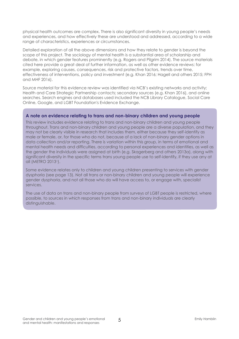physical health outcomes are complex. There is also significant diversity in young people's needs and experiences, and how effectively these are understood and addressed, according to a wide range of characteristics, experiences or circumstances.

Detailed exploration of all the above dimensions and how they relate to gender is beyond the scope of this project. The sociology of mental health is a substantial area of scholarship and debate, in which gender features prominently (e.g. Rogers and Pilgrim 2014). The source materials cited here provide a great deal of further information, as well as other evidence reviews: for example, exploring causes, consequences, risk and protective factors, trends over time, effectiveness of interventions, policy and investment (e.g. Khan 2016; Hagell and others 2015; FPH and MHF 2016).

Source material for this evidence review was identified via NCB's existing networks and activity; Health and Care Strategic Partnership contacts; secondary sources (e.g. Khan 2016), and online searches. Search engines and databases used included the NCB Library Catalogue, Social Care Online, Google, and LGBT Foundation's Evidence Exchange.

### **A note on evidence relating to trans and non-binary children and young people**

This review includes evidence relating to trans and non-binary children and young people throughout. Trans and non-binary children and young people are a diverse population, and they may not be clearly visible in research that includes them, either because they self-identify as male or female, or, for those who do not, because of a lack of non-binary gender options in data collection and/or reporting. There is variation within this group, in terms of emotional and mental health needs and difficulties, according to personal experiences and identities, as well as the gender the individuals were assigned at birth (e.g. Skagerberg and others 2013a), along with significant diversity in the specific terms trans young people use to self-identify, if they use any at all (METRO 20131).

Some evidence relates only to children and young children presenting to services with gender dysphoria (see page 13). Not all trans or non-binary children and young people will experience gender dysphoria, and not all those who do will have access to, or engage with, specialist services.

The use of data on trans and non-binary people from surveys of LGBT people is restricted, where possible, to sources in which responses from trans and non-binary individuals are clearly distinguishable.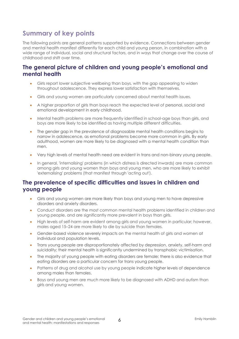# **Summary of key points**

The following points are general patterns supported by evidence. Connections between gender and mental health manifest differently for each child and young person, in combination with a wide range of individual, social and structural factors, and in ways that change over the course of childhood and shift over time.

### **The general picture of children and young people's emotional and mental health**

- Girls report lower subjective wellbeing than boys, with the gap appearing to widen throughout adolescence. They express lower satisfaction with themselves.
- Girls and young women are particularly concerned about mental health issues.
- A higher proportion of girls than boys reach the expected level of personal, social and emotional development in early childhood.
- Mental health problems are more frequently identified in school-age boys than girls, and boys are more likely to be identified as having multiple different difficulties.
- The gender gap in the prevalence of diagnosable mental health conditions begins to narrow in adolescence, as emotional problems become more common in girls. By early adulthood, women are more likely to be diagnosed with a mental health condition than men.
- Very high levels of mental health need are evident in trans and non-binary young people.
- In general, 'internalising' problems (in which distress is directed inwards) are more common among girls and young women than boys and young men, who are more likely to exhibit 'externalising' problems (that manifest through 'acting out').

### **The prevalence of specific difficulties and issues in children and young people**

- Girls and young women are more likely than boys and young men to have depressive disorders and anxiety disorders.
- Conduct disorders are the most common mental health problems identified in children and young people, and are significantly more prevalent in boys than girls.
- High levels of self-harm are evident among girls and young women in particular; however, males aged 15–24 are more likely to die by suicide than females.
- Gender-based violence severely impacts on the mental health of girls and women at individual and population levels.
- Trans young people are disproportionately affected by depression, anxiety, self-harm and suicidality; their mental health is significantly undermined by transphobic victimisation.
- The majority of young people with eating disorders are female; there is also evidence that eating disorders are a particular concern for trans young people.
- Patterns of drug and alcohol use by young people indicate higher levels of dependence among males than females.
- Boys and young men are much more likely to be diagnosed with ADHD and autism than girls and young women.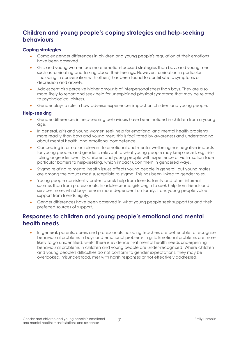### **Children and young people's coping strategies and help-seeking behaviours**

### **Coping strategies**

- Complex gender differences in children and young people's regulation of their emotions have been observed.
- Girls and young women use more emotion-focused strategies than boys and young men, such as ruminating and talking about their feelings. However, rumination in particular (including in conversation with others) has been found to contribute to symptoms of depression and anxiety.
- Adolescent girls perceive higher amounts of interpersonal stress than boys. They are also more likely to report and seek help for unexplained physical symptoms that may be related to psychological distress.
- Gender plays a role in how adverse experiences impact on children and young people.

#### **Help-seeking**

- Gender differences in help-seeking behaviours have been noticed in children from a young age.
- In general, girls and young women seek help for emotional and mental health problems more readily than boys and young men; this is facilitated by awareness and understanding about mental health, and emotional competence.
- Concealing information relevant to emotional and mental wellbeing has negative impacts for young people, and gender is relevant to what young people may keep secret, e.g. risktaking or gender identity. Children and young people with experience of victimisation face particular barriers to help-seeking, which impact upon them in gendered ways.
- Stigma relating to mental health issues affects young people in general, but young males are among the groups most susceptible to stigma. This has been linked to gender roles.
- Young people consistently prefer to seek help from friends, family and other informal sources than from professionals. In adolescence, girls begin to seek help from friends and services more, whilst boys remain more dependent on family. Trans young people value support from friends highly.
- Gender differences have been observed in what young people seek support for and their preferred sources of support.

### **Responses to children and young people's emotional and mental health needs**

 In general, parents, carers and professionals including teachers are better able to recognise behavioural problems in boys and emotional problems in girls. Emotional problems are more likely to go unidentified, whilst there is evidence that mental health needs underpinning behavioural problems in children and young people are under-recognised. Where children and young people's difficulties do not conform to gender expectations, they may be overlooked, misunderstood, met with harsh responses or not effectively addressed.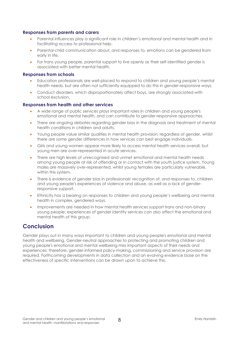#### **Responses from parents and carers**

- Parental influences play a significant role in children's emotional and mental health and in facilitating access to professional help.
- Parental-child communication about, and responses to, emotions can be gendered from early in life.
- For trans young people, parental support to live openly as their self-identified gender is associated with better mental health.

#### **Responses from schools**

- Education professionals are well-placed to respond to children and young people's mental health needs, but are often not sufficiently equipped to do this in gender-responsive ways.
- Conduct disorders, which disproportionately affect boys, are strongly associated with school exclusion.

### **Responses from health and other services**

- A wide range of public services plays important roles in children and young people's emotional and mental health, and can contribute to gender-responsive approaches.
- There are ongoing debates regarding gender bias in the diagnosis and treatment of mental health conditions in children and adults.
- Young people value similar qualities in mental health provision, regardless of gender, whilst there are some gender differences in how services can best engage individuals.
- Girls and young women appear more likely to access mental health services overall, but young men are over-represented in acute services.
- There are high levels of unrecognised and unmet emotional and mental health needs among young people at risk of offending or in contact with the youth justice system. Young males are massively over-represented, whilst young females are particularly vulnerable, within this system.
- There is evidence of gender bias in professionals' recognition of, and responses to, children and young people's experiences of violence and abuse, as well as a lack of genderresponsive support.
- Ethnicity has a bearing on responses to children and young people's wellbeing and mental health in complex, gendered ways.
- Improvements are needed in how mental health services support trans and non-binary young people; experiences of gender identity services can also affect the emotional and mental health of this group.

### **Conclusion**

Gender plays out in many ways important to children and young people's emotional and mental health and wellbeing. Gender-neutral approaches to protecting and promoting children and young people's emotional and mental wellbeing miss important aspects of their needs and experiences; therefore, gender-informed policy-making, commissioning and service provision are required. Forthcoming developments in data collection and an evolving evidence base on the effectiveness of specific interventions can be drawn upon to achieve this.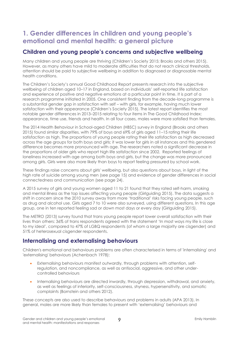# **1. Gender differences in children and young people's emotional and mental health: a general picture**

### **Children and young people's concerns and subjective wellbeing**

Many children and young people are thriving (Children's Society 2015; Brooks and others 2015). However, as many others have mild to moderate difficulties that do not reach clinical thresholds, attention should be paid to subjective wellbeing in addition to diagnosed or diagnosable mental health conditions.

The Children's Society's annual Good Childhood Report presents research into the subjective wellbeing of children aged 10–17 in England, based on individuals' self-reported life satisfaction and experience of positive and negative emotions at a particular point in time. It is part of a research programme initiated in 2005. One consistent finding from the decade-long programme is a substantial gender gap in satisfaction with self – with girls, for example, having much lower satisfaction with their appearance (Children's Society 2015). The latest report identifies the most notable gender differences in 2013–2015 relating to four items in The Good Childhood Index: appearance, time use, friends and health. In all four cases, males were more satisfied than females.

The 2014 Health Behaviour in School-aged Children (HBSC) survey in England (Brooks and others 2015) found similar disparities, with 79% of boys and 69% of girls aged 11–15 rating their life satisfaction as high. The proportions of young people rating their life satisfaction as high decreased across the age groups for both boys and girls; it was lower for girls in all instances and this gendered difference becomes more pronounced with age. The researchers noted a significant decrease in the proportions of older girls who report high life satisfaction since 2002. Reported feelings of loneliness increased with age among both boys and girls, but the change was more pronounced among girls. Girls were also more likely than boys to report feeling pressured by school work.

These findings raise concerns about girls' wellbeing, but also questions about boys, in light of the high rate of suicide among young men (see page 15) and evidence of gender differences in social connectedness and communication (see page 24).

A 2015 survey of girls and young women aged 11 to 21 found that they rated self-harm, smoking and mental illness as the top issues affecting young people (Girlguiding 2015). The data suggests a shift in concern since the 2010 survey away from more 'traditional' risks facing young people, such as drug and alcohol use. Girls aged 7 to 10 were also surveyed, using different questions. In this age group, one in ten reported feeling sad or down most days or every day (Girlguiding 2015).

The METRO (2013) survey found that trans young people report lower overall satisfaction with their lives than others: 36% of trans respondents agreed with the statement 'In most ways my life is close to my ideal', compared to 47% of LGBQ respondents (of whom a large majority are cisgender) and 51% of heterosexual cisgender respondents.

### **Internalising and externalising behaviours**

Children's emotional and behaviours problems are often characterised in terms of 'internalising' and 'externalising' behaviours (Achenbach 1978):

- Externalising behaviours manifest outwardly, through problems with attention, selfregulation, and noncompliance, as well as antisocial, aggressive, and other undercontrolled behaviours
- Internalising behaviours are directed inwardly, through depression, withdrawal, and anxiety, as well as feelings of inferiority, self-consciousness, shyness, hypersensitivity, and somatic complaints (Bornstein and others 2012).

These concepts are also used to describe behaviours and problems in adults (APA 2013). In general, males are more likely than females to present with 'externalising' behaviours and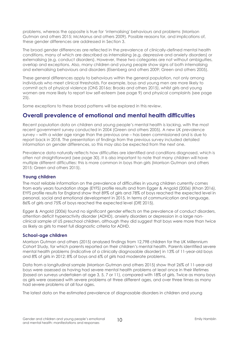problems, whereas the opposite is true for 'internalising' behaviours and problems (Morrison Gutman and others 2015; McManus and others 2009). Possible reasons for, and implications of, these gender differences are addressed in Section 3.

The broad gender differences are reflected in the prevalence of clinically-defined mental health conditions, many of which are described as internalising (e.g. depressive and anxiety disorders) or externalising (e.g. conduct disorders). However, these two categories are not without ambiguities, overlap and exceptions. Also, many children and young people show signs of both internalising and externalising behaviours and disorders (Eisenberg and others 2009; Green and others 2005).

These general differences apply to behaviours within the general population, not only among individuals who meet clinical thresholds. For example, boys and young men are more likely to commit acts of physical violence (ONS 2016a; Brooks and others 2015), whilst girls and young women are more likely to report low self-esteem (see page 9) and physical complaints (see page 25).

Some exceptions to these broad patterns will be explored in this review.

### **Overall prevalence of emotional and mental health difficulties**

Recent population data on children and young people's mental health is lacking, with the most recent government survey conducted in 2004 (Green and others 2005). A new UK prevalence survey – with a wider age range than the previous one – has been commissioned and is due to report back in 2018. The presentation of findings from the previous survey included detailed information on gender differences, so this may also be expected from the next one.

Prevalence data naturally reflects how difficulties are identified and conditions diagnosed, which is often not straightforward (see page 30). It is also important to note that many children will have multiple different difficulties: this is more common in boys than girls (Morrison Gutman and others 2015; Green and others 2015).

### **Young children**

The most reliable information on the prevalence of difficulties in young children currently comes from early years foundation stage (EYFS) profile results and from Egger & Angold (2006) (Khan 2016). EYFS profile results for England show that 89% of girls and 78% of boys reached the expected level in personal, social and emotional development in 2015. In terms of communication and language, 86% of girls and 75% of boys reached the expected level (DfE 2015).

Egger & Angold (2006) found no significant gender effects on the prevalence of conduct disorders, attention deficit hyperactivity disorder (ADHD), anxiety disorders or depression in a large nonclinical sample of US preschool children, although they did suggest that boys were more than twice as likely as girls to meet full diagnostic criteria for ADHD.

### **School-age children**

Morrison Gutman and others (2015) analysed findings from 12,798 children for the UK Millennium Cohort Study, for which parents reported on their children's mental health. Parents identified severe mental health problems (indicative of a clinically diagnosable disorder) in 13% of 11-year-old boys and 8% of girls in 2012; 8% of boys and 6% of girls had moderate problems.

Data from a longitudinal sample (Morrison Gutman and others 2015) show that 26% of 11-year-old boys were assessed as having had severe mental health problems at least once in their lifetimes (based on surveys undertaken at age 3, 5, 7 or 11), compared with 18% of girls. Twice as many boys as girls were assessed with severe problems at three different ages, and over three times as many had severe problems at all four ages.

The latest data on the estimated prevalence of diagnosable disorders in children and young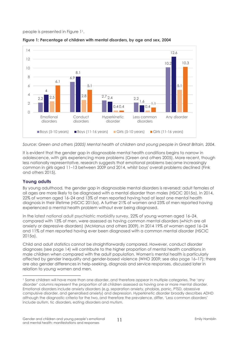people is presented in Figure 11.



**Figure 1: Percentage of children with mental disorders, by age and sex, 2004**

*Source: Green and others (2005) Mental health of children and young people in Great Britain, 2004.*

It is evident that the gender gap in diagnosable mental health conditions begins to narrow in adolescence, with girls experiencing more problems (Green and others 2005). More recent, though less nationally representative, research suggests that emotional problems became increasingly common in girls aged 11–13 between 2009 and 2014, whilst boys' overall problems declined (Fink and others 2015).

### **Young adults**

By young adulthood, the gender gap in diagnosable mental disorders is reversed: adult females of all ages are more likely to be diagnosed with a mental disorder than males (HSCIC 2015a). In 2014, 22% of women aged 16–24 and 13% of men reported having had at least one mental health diagnosis in their lifetime (HSCIC 2015a). A further 21% of women and 23% of men reported having experienced a mental health problem without ever being diagnosed.

In the latest national adult psychiatric morbidity survey, 22% of young women aged 16–24, compared with 13% of men, were assessed as having common mental disorders (which are all anxiety or depressive disorders) (McManus and others 2009). In 2014 19% of women aged 16–24 and 11% of men reported having ever been diagnosed with a common mental disorder (HSCIC 2015a).

Child and adult statistics cannot be straightforwardly compared. However, conduct disorder diagnoses (see page 14) will contribute to the higher proportion of mental health conditions in male children when compared with the adult population. Women's mental health is particularly affected by gender inequality and gender-based violence (WHO 2009; see also page 16–17); there are also gender differences in help-seeking, diagnosis and service responses, discussed later in relation to young women and men.

 $\overline{a}$ <sup>1</sup> Some children will have more than one disorder, and therefore appear in multiple categories. The 'any disorder' columns represent the proportion of all children assessed as having one or more mental disorder. Emotional disorders include anxiety disorders (e.g. separation anxiety, phobias, panic, PTSD, obsessive compulsive disorder, and generalised anxiety) and depression. Hyperkinetic disorder broadly describes ADHD although the diagnostic criteria for the two, and therefore the prevalence, differ. 'Less common disorders' include autism, tic disorders, eating disorders and mutism.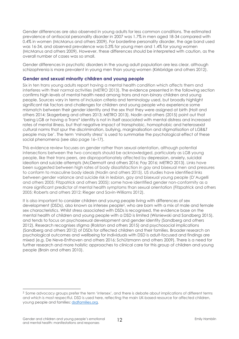Gender differences are also observed in young adults for less common conditions. The estimated prevalence of antisocial personality disorder in 2007 was 1.7% in men aged 18-34 compared with 0.4% in women (McManus and others 2009). For borderline personality disorder, the age band used was 16-34, and observed prevalence was 0.3% for young men and 1.4% for young women (McManus and others 2009). However, these differences should be interpreted with caution, as the overall number of cases was so small.

Gender differences in psychotic disorders in the young adult population are less clear, although schizophrenia is more prevalent in young men than young women (Kirkbridge and others 2012).

#### **Gender and sexual minority children and young people**

Six in ten trans young adults report having a mental health condition which affects them and interferes with their normal activities (METRO 2013). The evidence presented in the following section confirms high levels of mental health need among trans and non-binary children and young people. Sources vary in terms of inclusion criteria and terminology used, but broadly highlight significant risk factors and challenges for children and young people who experience some mismatch between their gender identity and the sex that they were assigned at birth (Holt and others 2014; Skagerberg and others 2013; METRO 2013). Nodin and others (2015) point out that 'being LGB or having a Trans\* identity is not in itself associated with mental distress and increased rates of mental illness, but that negative impact of transphobic, homophobic and heterosexist cultural norms that spur the discrimination, bullying, marginalisation and stigmatisation of LGB&T people may be'. The term 'minority stress' is used to summarise the psychological effect of these social phenomena (see also page 16–17).

This evidence review focuses on gender rather than sexual orientation, although potential intersections between the two concepts should be acknowledged, particularly as LGB young people, like their trans peers, are disproportionately affected by depression, anxiety, suicidal ideation and suicide attempts (McDermott and others 2016; Fay 2016; METRO 2013). Links have been suggested between high rates of body dissatisfaction in gay and bisexual men and pressures to conform to masculine body ideals (Nodin and others 2015). US studies have identified links between gender variance and suicide risk in lesbian, gay and bisexual young people (D'Augelli and others 2005; Fitzpatrick and others 2005); some have identified gender non-conformity as a more significant predictor of mental health symptoms than sexual orientation (Fitzpatrick and others 2005; Roberts and others 2012; Rieger and Savin-Williams 2012).

It is also important to consider children and young people living with differences of sex development (DSDs), also known as intersex people2, who are born with a mix of male and female sex characteristics. Whilst stress associated with DSDs is recognised, the evidence base on the mental health of children and young people with a DSD is limited (Wisniewski and Sandberg 2015), and tends to focus on psychosexual development and gender identity (Sandberg and others 2012). Research recognises stigma (Rolston and others 2015) and psychosocial implications (Sandberg and others 2012) of DSDs for affected children and their families. Broader research on psychological outcomes and wellbeing for individuals with DSD is adult-focused and findings are mixed (e.g. De Neve-Enthoven and others 2016; Schützmann and others 2009). There is a need for further research and more holistic approaches to clinical care for this group of children and young people (Brain and others 2010).

 $\overline{a}$ 

<sup>2</sup> Some advocacy groups prefer the term 'intersex', and there is debate about implications of different terms and which is most respectful. DSD is used here, reflecting the main UK-based resource for affected children, young people and families[: dsdfamilies.org.](http://www.dsdfamilies.org/)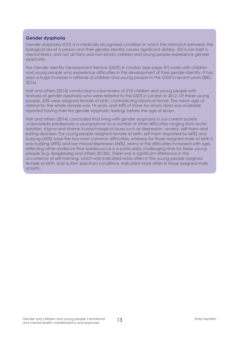### **Gender dysphoria**

Gender dysphoria (GD) is a medically recognised condition in which the mismatch between the biological sex of a person and their gender identity causes significant distress. GD is not itself a mental illness, and not all trans and non-binary children and young people experience gender dysphoria.

The Gender Identity Development Service (GIDS) in London (see page 37) works with children and young people who experience difficulties in the development of their gender identity. It has seen a huge increase in referrals of children and young people to the GIDS in recent years (BBC 2016).

Holt and others (2014) conducted a case review of 218 children and young people with features of gender dysphoria who were referred to the GIDS in London in 2012. Of these young people, 63% were assigned female at birth, contradicting historical trends. The mean age of referral for the whole sample was 14 years, and 43% of those for whom data was available reported having their first gender dysphoric feelings before the age of seven.

Holt and others (2014) concluded that living with gender dysphoria in our current society undoubtedly predisposes a young person to a number of other difficulties ranging from social isolation, stigma and shame to psychological issues such as depression, anxiety, self-harm and eating disorders. For young people assigned female at birth, self-harm (reported by 46%) and bullying (45%) were the two most common difficulties, whereas for those assigned male at birth it was bullying (49%) and low mood/depression (46%). Many of the difficulties increased with age, reflecting other evidence that adolescence is a particularly challenging time for these young people (e.g. Skagerberg and others 2013b). There was a significant difference in the occurrence of self-harming, which was indicated more often in the young people assigned female at birth, and autism spectrum conditions, indicated more often in those assigned male at birth.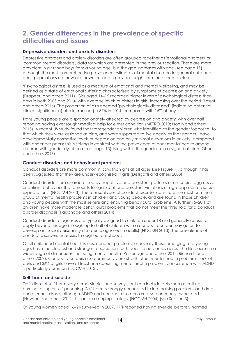# **2. Gender differences in the prevalence of specific difficulties and issues**

### **Depressive disorders and anxiety disorders**

Depressive disorders and anxiety disorders are often grouped together as 'emotional disorders' or 'common mental disorders', data for which are presented in the previous section. These are more prevalent in girls than boys from a young age, but the gap increases with age (see page 11). Although the most comprehensive prevalence estimates of mental disorders in general child and adult populations are now old, newer research provides insight into the current picture.

'Psychological distress' is used as a measure of emotional and mental wellbeing, and may be defined as a state of emotional suffering characterised by symptoms of depression and anxiety (Drapeau and others 2011). Girls aged 14–15 recorded higher levels of psychological distress than boys in both 2005 and 2014, with average levels of distress in girls' increasing over the period (Lessof and others 2016). The proportion of girls deemed 'psychologically distressed' (indicating potential clinical significance) also increased (to 37% in 2014, compared with 15% of boys).

Trans young people are disproportionately affected by depression and anxiety, with over half reporting having ever sought medical help for either condition (METRO 2013; Nodin and others 2015). A recent US study found that transgender children who identified as the gender 'opposite' to that which they were assigned at birth, and were supported to live openly as that gender, 'have developmentally normative levels of depression and only minimal elevations in anxiety' compared with cisgender peers; this is striking in contrast with the prevalence of poor mental health among children with gender dysphoria (see page 13) living within the gender role assigned at birth (Olson and others 2016).

#### **Conduct disorders and behavioural problems**

Conduct disorders are more common in boys than girls at all ages (see Figure 1), although it has been suggested that they are under-recognised in girls (Delligatti and others 2003).

Conduct disorders are characterised by 'repetitive and persistent patterns of antisocial, aggressive or defiant behaviour that amounts to significant and persistent violations of age-appropriate social expectations' (NCCMH 2013). The four subtypes of conduct disorder constitute the most common group of mental health problems in children and young people, and are found in those children and young people with the most severe and enduring behavioural problems. A further 15–20% of children have more moderate behavioural problems that do not meet the threshold for a conduct disorder diagnosis (Parsonage and others 2014).

Conduct disorder diagnoses are typically assigned to children under 18 and generally cease to apply beyond this age (though up to half of children with a conduct disorder may go on to develop antisocial personality disorder, diagnosed in adults) (NCCMH 2013). The prevalence of conduct disorders increases throughout childhood.

Of all childhood mental health issues, conduct problems, especially those emerging at a young age, have the clearest and strongest associations with poor life outcomes across the life course in a wide range of dimensions, including mental health (Parsonage and others 2014; Richards and others 2009). Conduct disorders also commonly coexist with other mental health problems: 46% of boys and 36% of girls have at least one coexisting mental health problem; concurrence with ADHD is particularly common (NCCMH 2013).

#### **Self-harm and suicide**

Definitions of self-harm vary across studies and surveys, but can include acts such as cutting, burning, biting or self-poisoning. Self-harm is strongly connected to internalising problems and drug and alcohol misuse, although ADHD and conduct disorders are also commonly associated (Hawton and others 2012). It can be a coping strategy (NCCMH 2004) (see Section 3).

Of young women aged 16–24 surveyed in 2007, 17% reported having ever deliberately harmed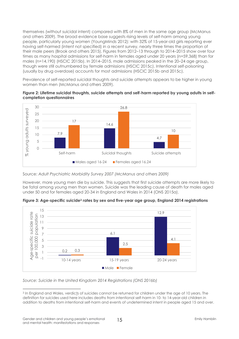themselves (without suicidal intent) compared with 8% of men in the same age group (McManus and others 2009). The broad evidence base suggests rising levels of self-harm among young people, particularly young women (YoungMinds 2012): with 32% of 15-year-old girls reporting ever having self-harmed (intent not specified) in a recent survey, nearly three times the proportion of their male peers (Brook and others 2015). Figures from 2012–13 through to 2014–2015 show over four times as many hospital admissions for self-harm in females aged under 20 years (n=59,368) than for males (n=14,190) (HSCIC 2015b). In 2014–2015, male admissions peaked in the 20–24 age group, though were still outnumbered by female admissions (HSCIC 2015c). Intentional self-poisoning (usually by drug overdose) accounts for most admissions (HSCIC 2015b and 2015c).

Prevalence of self-reported suicidal thoughts and suicide attempts appears to be higher in young women than men (McManus and others 2009).





Source: *Adult Psychiatric Morbidity Survey 2007 (McManus and others 2009)*

However, more young men die by suicide. This suggests that first suicide attempts are more likely to be fatal among young men than women. Suicide was the leading cause of death for males aged under 50 and for females aged 20-34 in England and Wales in 2014 (ONS 2015a).

**Figure 3: Age-specific suicide<sup>3</sup> rates by sex and five-year age group, England 2014 registrations**



*Source: Suicide in the United Kingdom 2014 Registrations (ONS 2016b)*

 $\overline{a}$ 

<sup>&</sup>lt;sup>3</sup> In England and Wales, verdic<u>t</u>s of suicides cannot be returned for children under the age of 10 years. The definition for suicides used here includes deaths from intentional self-harm in 10- to 14-year-old children in addition to deaths from intentional self-harm and events of undetermined intent in people aged 15 and over.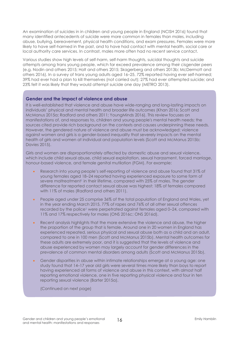An examination of suicides in in children and young people in England (NCISH 2016) found that many identified antecedents of suicide were more common in females than males, including abuse, bullying, bereavement, physical health conditions, and exam pressures. Females were more likely to have self-harmed in the past, and to have had contact with mental health, social care or local authority care services. In contrast, males more often had no recent service contact.

Various studies show high levels of self-harm, self-harm thoughts, suicidal thoughts and suicide attempts among trans young people, which far exceed prevalence among their cisgender peers (e.g. Nodin and others 2015; Holt and others 2015; Skagerberg and others 2013b; McDermott and others 2016). In a survey of trans young adults aged 16–25, 72% reported having ever self-harmed; 39% had ever had a plan to kill themselves (not carried out); 27% had ever attempted suicide; and 23% felt it was likely that they would attempt suicide one day (METRO 2013).

#### **Gender and the impact of violence and abuse**

It is well-established that violence and abuse have wide-ranging and long-lasting impacts on individuals' physical and mental health and broader life outcomes (Khan 2016; Scott and McManus 2015a; Radford and others 2011; YoungMinds 2016). This review focuses on manifestations of, and responses to, children and young people's mental health needs; the sources cited provide rich background on the contexts and causes underpinning these needs. However, the gendered nature of violence and abuse must be acknowledged: violence against women and girls is a gender-based inequality that severely impacts on the mental health of girls and women at individual and population levels (Scott and McManus 2015b; Davies 2015).

Girls and women are disproportionately affected by domestic abuse and sexual violence, which include child sexual abuse, child sexual exploitation, sexual harassment, forced marriage, honour-based violence, and female genital mutilation (FGM). For example:

- Research into young people's self-reporting of violence and abuse found that 31% of young females aged 18–24 reported having experienced exposure to some form of severe maltreatment<sup>1</sup> in their lifetime, compared with 25% of males. The gender difference for reported contact sexual abuse was highest: 18% of females compared with 11% of males (Radford and others 2011).
- People aged under 25 comprise 36% of the total population of England and Wales, yet in the year ending March 2015, 77% of rapes and 76% of all other sexual offences recorded by the police<sup>1</sup> were perpetrated against females aged 0-24, compared with 11% and 17% respectively for males (ONS 2016c; ONS 2016d).
- Recent analysis highlights that the more extensive the violence and abuse, the higher the proportion of the group that is female. Around one in 20 women in England has experienced repeated, serious physical and sexual abuse both as a child and an adult, compared to one in 100 men (Scott and McManus 2015b). Mental health outcomes for these adults are extremely poor, and it is suggested that the levels of violence and abuse experienced by women may largely account for gender differences in the prevalence of common mental disorders among adults (Scott and McManus 2015b).
- Gender disparities in abuse within intimate relationships emerge at a young age: one study found that 14–17 year old girls were several times more likely than boys to report having experienced all forms of violence and abuse in this context, with almost half reporting emotional violence, one in five reporting physical violence and four in ten reporting sexual violence (Barter 2015a).

(Continued on next page)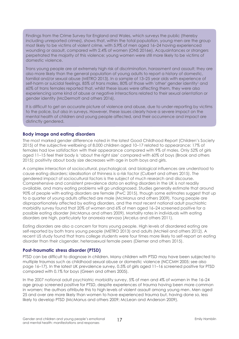Findings from the Crime Survey for England and Wales, which surveys the public (thereby including unreported crimes), shows that, within the total population, young men are the group most likely to be victims of violent crime, with 5.9% of men aged 16–24 having experienced wounding or assault, compared with 2.4% of women (ONS 2016e). Acquaintances or strangers perpetrated the majority of this violence; young women were still more likely to be victims of domestic violence.

Trans young people are at extremely high risk of discrimination, harassment and assault; they are also more likely than the general population of young adults to report a history of domestic, familial and/or sexual abuse (METRO 2013). In a sample of 13–25 year olds with experience of self-harm or suicidal feelings, 85% of trans males, 80% of those with 'other' gender identity<sup>1</sup> and 60% of trans females reported that, whilst these issues were affecting them, they were also experiencing some kind of abuse or negative interactions related to their sexual orientation or gender identity (McDermott and others 2016).

It is difficult to get an accurate picture of violence and abuse, due to under-reporting by victims to the police, but also in surveys. However, these issues clearly have a severe impact on the mental health of children and young people affected, and their occurrence and impact are distinctly gendered.

### **Body image and eating disorders**

The most marked gender difference noted in the latest Good Childhood Report (Children's Society 2015) of the subjective wellbeing of 8,000 children aged 10–17 related to appearance: 17% of females had low satisfaction with their appearance compared with 9% of males. Only 52% of girls aged 11–15 feel their body is 'about the right size' compared with 60% of boys (Brook and others 2015); positivity about body size decreases with age in both boys and girls.

A complex interaction of sociocultural, psychological, and biological influences are understood to cause eating disorders; idealisation of thinness is a risk factor (Culbert and others 2015). The gendered impact of sociocultural factors is the subject of much research and discourse. Comprehensive and consistent prevalence data on eating disorders in the UK is not readily available, and many eating problems will go undiagnosed. Studies generally estimate that around 90% of people with eating disorders are female (PwC 2015), though some estimates suggest that up to a quarter of young adults affected are male (McManus and others 2009). Young people are disproportionately affected by eating disorders, and the most recent national adult psychiatric morbidity survey found that 20% of women and 6% of men aged 16–24 screened positive for a possible eating disorder (McManus and others 2009). Mortality rates in individuals with eating disorders are high, particularly for anorexia nervosa (Arcelus and others 2011).

Eating disorders are also a concern for trans young people. High levels of disordered eating are self-reported by both trans young people (METRO 2013) and adults (McNeil and others 2012). A recent US study found that trans college students were four times more likely to self-report an eating disorder than their cisgender, heterosexual female peers (Diemer and others 2015).

### **Post-traumatic stress disorder (PTSD)**

PTSD can be difficult to diagnose in children. Many children with PTSD may have been subjected to multiple traumas such as childhood sexual abuse or domestic violence (NCCMH 2005; see also page 16–17). In the latest UK prevalence survey, 0.5% of girls aged 11–16 screened positive for PTSD compared with 0.1% for boys (Green and others 2005).

In the 2007 national adult psychiatric morbidity survey, 5% of men and 4% of women in the 16–24 age group screened positive for PTSD, despite experiences of trauma having been more common in women; the authors attribute this to high levels of violent assault among young men. Men aged 25 and over are more likely than women to have experienced trauma but, having done so, less likely to develop PTSD (McManus and others 2009; McLean and Anderson 2009).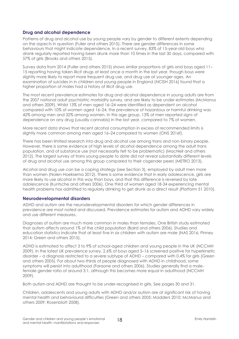### **Drug and alcohol dependence**

Patterns of drug and alcohol use by young people vary by gender to different extents depending on the aspects in question (Fuller and others 2015). There are gender differences in some behaviours that might indicate dependence. In a recent survey, 83% of 15-year-old boys who drank regularly reported having been drunk more than 10 times in the last 30 days, compared with 57% of girls (Brooks and others 2015).

Survey data from 2014 (Fuller and others 2015) shows similar proportions of girls and boys aged 11– 15 reporting having taken illicit drugs at least once a month in the last year, though boys were slightly more likely to report more frequent drug use, and drug use at younger ages. An examination of suicides in in children and young people in England (NCISH 2016) found that a higher proportion of males had a history of illicit drug use.

The most recent prevalence estimates for drug and alcohol dependence in young adults are from the 2007 national adult psychiatric morbidity survey, and are likely to be under-estimates (McManus and others 2009). Whilst 13% of men aged 16–24 were identified as dependent on alcohol compared with 10% of women aged 16–24, the prevalence of hazardous or harmful drinking was 42% among men and 32% among women. In this age group, 13% of men reported signs of dependence on any drug (usually cannabis) in the last year, compared to 7% of women.

More recent data shows that recent alcohol consumption in excess of recommended limits is slightly more common among men aged 16–24 compared to women (ONS 2016f).

There has been limited research into drug and alcohol use among trans and non-binary people. However, there is some evidence of high levels of alcohol dependence among the adult trans population, and of substance use (not necessarily felt to be problematic) (MacNeil and others 2012). The largest survey of trans young people to date did not reveal substantially different levels of drug and alcohol use among this group compared to their cisgender peers (METRO 2013).

Alcohol and drug use can be a coping strategy (see Section 3), employed by adult men more than women (Nolen-Hoeksema 2012). There is some evidence that in early adolescence, girls are more likely to use alcohol in this way than boys, and that this difference is reversed by late adolescence (Kuntsche and others 2006). One third of women aged 18-34 experiencing mental health problems has admitted to regularly drinking to get drunk as a direct result (Platform 51 2010).

#### **Neurodevelopmental disorders**

ADHD and autism are the neurodevelopmental disorders for which gender differences in prevalence are most noted and discussed. Prevalence estimates for autism and ADHD vary widely and use different measures.

Diagnoses of autism are much more common in males than females. One British study estimated that autism affects around 1% of the child population (Baird and others 2006). Studies and education statistics indicate that at least five in six children with autism are male (NAS 2016; Pinney 2014; Green and others 2015).

ADHD is estimated to affect 3 to 9% of school-aged children and young people in the UK (NCCMH 2009). In the latest UK prevalence survey, 2.6% of boys aged 5–16 screened positive for hyperkinetic disorder – a diagnosis restricted to a severe subtype of ADHD – compared with 0.4% for girls (Green and others 2005). For about two-thirds of people diagnosed with ADHD in childhood, some symptoms will persist into adulthood (Faraone and others 2006). Studies generally find a malefemale gender ratio of around 3:1, although this becomes more equal in adulthood (NCCMH 2009).

Both autism and ADHD are thought to be under-recognised in girls. See pages 30 and 31.

Children, adolescents and young adults with ADHD and/or autism are at significant risk of having mental health and behavioural difficulties (Green and others 2005; Madders 2010; McManus and others 2009; Rosenblatt 2008).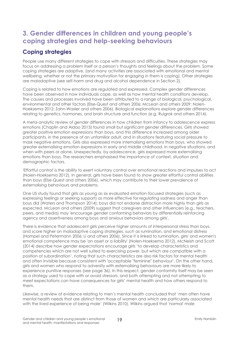# **3. Gender differences in children and young people's coping strategies and help-seeking behaviours**

### **Coping strategies**

People use many different strategies to cope with stressors and difficulties. These strategies may focus on addressing a problem itself or a person's thoughts and feelings about the problem. Some coping strategies are adaptive, (and many activities are associated with emotional and mental wellbeing, whether or not the primary motivation for engaging in them is coping). Other strategies are maladaptive (see self-harm and drug and alcohol dependence in Section 2).

Coping is related to how emotions are regulated and expressed. Complex gender differences have been observed in how individuals cope, as well as how mental health conditions develop. The causes and processes involved have been attributed to a range of biological, psychological, environmental and other factors (Else-Quest and others 2006; McLean and others 2009; Nolen-Hoeksema 2012; Zahn-Waxler and others 2006). Biological explanations explore gender differences relating to genetics, hormones, and brain structure and function (e.g. Ruigrok and others 2014).

A meta-analytic review of gender differences in how children from infancy to adolescence express emotions (Chaplin and Aldao 2013) found small but significant gender differences. Girls showed greater positive emotion expressions than boys, and this difference increased among older participants, in the presence of an unfamiliar adult, and in situations featuring social pressure to mask negative emotions. Girls also expressed more internalising emotions than boys, who showed greater externalising emotion expressions in early and middle childhood, in negative situations, and when with peers or alone. Unexpectedly, by adolescence, girls expressed more externalising emotions than boys. The researchers emphasised the importance of context, situation and demographic factors.

'Effortful control' is the ability to exert voluntary control over emotional reactions and impulses to act (Nolen-Hoeksema 2012). In general, girls have been found to show greater effortful control abilities than boys (Else-Quest and others 2006), which may contribute to their lower prevalence of externalising behaviours and problems.

One US study found that girls as young as six evaluated emotion-focused strategies (such as expressing feelings or seeking support) as more effective for regulating sadness and anger than boys did (Waters and Thompson 2014); boys did not endorse distraction more highly than girls as expected. McLean and others (2009) suggest that caregivers and other influencers (e.g., teachers, peers, and media) may 'encourage gender conforming behaviors by differentially reinforcing agency and assertiveness among boys and anxious behaviors among girls'.

There is evidence that adolescent girls perceive higher amounts of interpersonal stress than boys, and score higher on maladaptive coping strategies, such as rumination, and emotional distress (Hampel and Petermann 2006; Li and others 2006). Since it is linked to rumination, girls' and women's emotional competence may be 'an asset or a liability' (Nolen-Hoeksema 2012). McNeish and Scott (2014) describe how gender expectations encourage girls 'to develop characteristics and competencies which are not well suited to exercising power, but which are compatible with a position of subordination', noting that such characteristics are also risk factors for mental health and often invisible because consistent with 'acceptable "feminine" behaviour'. On the other hand, girls and women who respond to adversity with externalising behaviours are more likely to experience punitive responses (see page 36). In this respect, gender conformity itself may be seen as a strategy used to cope with or avoid stressors, and both attempting and not attempting to meet expectations can have consequences for girls' mental health and how others respond to them.

Likewise, a review of evidence relating to men's mental health concluded that 'men often have mental health needs that are distinct from those of women and which are particularly associated with the lived experience of being male' (Wilkins 2010). Wilkins argued that 'normal' male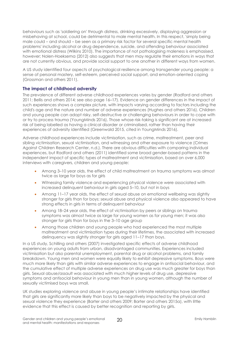behaviours such as 'soldiering on' through distress, drinking excessively, displaying aggression or misbehaving at school, could be detrimental to male mental health. In this respect, 'simply being male could – and should – be seen as a primary risk factor for several specific mental health problems' including alcohol or drug dependence, suicide, and offending behaviour associated with emotional distress (Wilkins 2010). The importance of not pathologising maleness is emphasised, however; Nolen-Hoeksema (2012) also suggests that men may regulate their emotions in ways that are not currently obvious, and provide social support to one another in different ways from women.

A US study identified four aspects of psychological resilience among transgender young people: a sense of personal mastery, self-esteem, perceived social support, and emotion-oriented coping (Grossman and others 2011).

### **The impact of childhood adversity**

The prevalence of different adverse childhood experiences varies by gender (Radford and others 2011; Bellis and others 2014; see also page 16–17). Evidence on gender differences in the impact of such experiences shows a complex picture, with impacts varying according to factors including the child's age and the nature and number of adverse experiences (Hughes and others 2016). Children and young people can adopt risky, self-destructive or challenging behaviours in order to cope with or try to process trauma (YoungMinds 2016). Those whose risk-taking is significant are at increased risk of being labelled as having a clinical disorder or criminalised, rather than having their experiences of adversity identified (Greenwald 2015, cited in YoungMinds 2016).

Adverse childhood experiences include victimisation, such as crime, maltreatment, peer and sibling victimisation, sexual victimisation, and witnessing and other exposure to violence (Crimes Against Children Research Center, n.d.). There are obvious difficulties with comparing individual experiences, but Radford and others (2011) identified some broad gender-based patterns in the independent impact of specific types of maltreatment and victimisation, based on over 6,000 interviews with caregivers, children and young people:

- Among 3–10 year olds, the effect of child maltreatment on trauma symptoms was almost twice as large for boys as for girls
- Witnessing family violence and experiencing physical violence were associated with increased delinquent behaviour in girls aged 5–10, but not in boys
- Among 11–17 year olds, the effect of sexual abuse on emotional wellbeing was slightly stronger for girls than for boys; sexual abuse and physical violence also appeared to have strong effects in girls in terms of delinquent behaviour
- Among 18–24 year olds, the effect of victimisation by peers or siblings on trauma symptoms was almost twice as large for young women as for young men; it was also stronger for girls than for boys in the 3–10 age group
- Among those children and young people who had experienced the most multiple maltreatment and victimisation types during their lifetimes, the associated with increased delinquency was slightly stronger for girls aged 11–17 than boys.

In a US study, Schilling and others (2007) investigated specific effects of adverse childhood experiences on young adults from urban, disadvantaged communities. Experiences included victimisation but also parental unemployment, parental drug or alcohol problems, and family breakdown. Young men and women were equally likely to exhibit depressive symptoms. Boys were much more likely than girls with similar adverse experiences to engage in antisocial behaviour, and the cumulative effect of multiple adverse experiences on drug use was much greater for boys than girls. Sexual abuse/assault was associated with much higher levels of drug use, depressive symptoms and antisocial behaviour in young men than in young women, although the number of sexually victimised boys was small.

UK studies exploring violence and abuse in young people's intimate relationships have identified that girls are significantly more likely than boys to be negatively impacted by the physical and sexual violence they experience (Barter and others 2009; Barter and others 2015a), with little evidence that this effect is caused by better recognition and reporting by girls.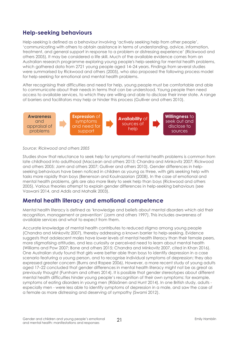### **Help-seeking behaviours**

Help-seeking is defined as a behaviour involving 'actively seeking help from other people', 'communicating with others to obtain assistance in terms of understanding, advice, information, treatment, and general support in response to a problem or distressing experience' (Rickwood and others 2005). It may be considered a life skill. Much of the available evidence comes from an Australian research programme exploring young people's help-seeking for mental health problems, which gathered data from 2721 young people aged 14–24 years. Findings from several studies were summarised by Rickwood and others (2005), who also proposed the following process model for help-seeking for emotional and mental health problems.

After recognising their difficulties and need for help, young people must be comfortable and able to communicate about their needs in terms that can be understood. Young people then need access to available services, to which they are willing and able to disclose their inner state. A range of barriers and facilitators may help or hinder this process (Gulliver and others 2010).



*Source: Rickwood and others 2005*

Studies show that reluctance to seek help for symptoms of mental health problems is common from late childhood into adulthood (MacLean and others 2013; Chandra and Minkovitz 2007; Rickwood and others 2005; Jorm and others 2007; Gulliver and others 2010). Gender differences in helpseeking behaviours have been noticed in children as young as three, with girls seeking help with tasks more rapidly than boys (Benenson and Koulnazarian (2008). In the case of emotional and mental health problems, girls are also more likely to seek help than boys (Rickwood and others 2005). Various theories attempt to explain gender differences in help-seeking behaviours (see Vaswani 2014, and Addis and Mahalik 2003).

### **Mental health literacy and emotional competence**

Mental health literacy is defined as 'knowledge and beliefs about mental disorders which aid their recognition, management or prevention' (Jorm and others 1997). This includes awareness of available services and what to expect from them.

Accurate knowledge of mental health contributes to reduced stigma among young people (Chandra and Minkovitz 2007), thereby addressing a known barrier to help-seeking. Evidence suggests that adolescent males have lower levels of mental health literacy than their female peers, more stigmatising attitudes, and less curiosity or perceived need to learn about mental health (Williams and Pow 2007; Bone and others 2015; Chandra and Minkovitz 2007, cited in Khan 2016). One Australian study found that girls were better able than boys to identify depression in a case scenario featuring a young person, and to recognise individual symptoms of depression; they also expressed greater concern (Burns and Rapee 2006). However, a more recent study of young adults aged 17–22 concluded that gender differences in mental health literacy might not be as great as previously thought (Furnham and others 2014). It is possible that gender stereotypes about different mental health difficulties hinder young people's recognition of their own symptoms: for example, symptoms of eating disorders in young men (Räisänen and Hunt 2014). In one British study, adults especially men - were less able to identify symptoms of depression in a male, and saw the case of a female as more distressing and deserving of sympathy (Swami 2012).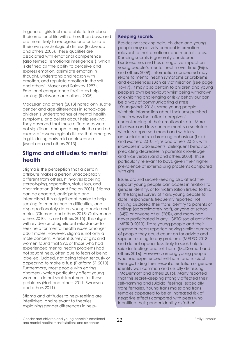In general, girls feel more able to talk about their emotional life with others than boys, and are more likely to recognise and articulate their own psychological distress (Rickwood and others 2005). These qualities are associated with emotional competence (also termed 'emotional intelligence'), which is defined as 'the ability to perceive and express emotion, assimilate emotion in thought, understand and reason with emotion, and regulate emotion in the self and others' (Mayer and Salovey 1997). Emotional competence facilitates helpseeking (Rickwood and others 2005).

MacLean and others (2013) noted only subtle gender and age differences in school-age children's understandings of mental health symptoms, and beliefs about help seeking. They observed that these differences were not significant enough to explain the marked excess of psychological distress that emerges in girls during early-mid adolescence (MacLean and others 2013).

### **Stigma and attitudes to mental health**

Stigma is the perception that a certain attribute makes a person unacceptably different from others. It involves labelling, stereotyping, separation, status loss, and discrimination (Link and Phelan 2001). Stigma can be enacted, anticipated and internalised. It is a significant barrier to helpseeking for mental health difficulties, and disproportionately deters young people and males (Clement and others 2015; Gulliver and others 2010; Ilic and others 2015). This aligns with evidence of significant reluctance to seek help for mental health issues amongst adult males. However, stigma is not only a male concern. A recent survey of girls and women found that 29% of those who had experienced mental health problems had not sought help, often due to fears of being labelled, judged, not being taken seriously or appearing to make a fuss (Platform 51 2010). Furthermore, most people with eating disorders - which particularly affect young women - do not seek treatment for these problems (Hart and others 2011; Swanson and others 2011).

Stigma and attitudes to help-seeking are interlinked, and relevant to theories explaining gender differences in help-

### **Keeping secrets**

Besides not seeking help, children and young people may actively conceal information relevant to their emotional and mental states. Keeping secrets is generally considered burdensome, and has a negative impact on young people's mental health over time (Frijns and others 2009). Information concealed may relate to mental health symptoms or problems and experiences such as victimisation (see page 16–17). It may also pertain to children and young people's own behaviour: whilst being withdrawn or exhibiting challenging or risky behaviour can be a way of communicating distress (YoungMinds 2016), some young people withhold information about their unsupervised time in ways that affect caregivers' understanding of their emotional state. More disclosure and less concealment is associated with less depressed mood and with less antisocial and rule-breaking behaviour (Laird and Marrero 2010; Frijns and others 2013), with increases in adolescents' delinquent behaviour predicting decreases in parental knowledge and vice versa (Laird and others 2003). This is particularly relevant to boys, given their higher prevalence of externalising problems compared with girls.

Issues around secret-keeping also affect the support young people can access in relation to gender identity, or for victimisation linked to this. In the largest survey of trans young people to date, respondents frequently reported not having disclosed their trans identity to parents or siblings (approximately half), anyone at school (34%) or anyone at all (28%), and many had never participated in any LGBTQ social activities (METRO 2013). Trans young people and their cisgender peers reported having similar numbers of people they could count on for advice and support relating to any problems (METRO 2013) and do not appear less likely to seek help for suicidal feelings and self-harm (McDermott and others 2016). However, among young people who had experienced self-harm and suicidal feelings, hiding their sexual orientation or gender identity was common and usually distressing (McDermott and others 2016). Many reported that this secret-keeping strongly affected their self-harming and suicidal feelings, especially trans females. Young trans males and trans females appeared to be at increased risk of negative effects compared with peers who identified their gender identity as 'other'.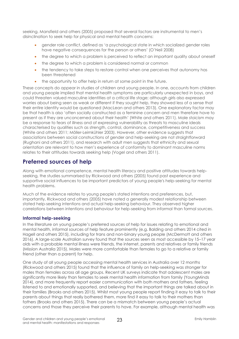seeking. Mansfield and others (2005) proposed that several factors are instrumental to men's disinclination to seek help for physical and mental health concerns:

- gender role conflict, defined as 'a psychological state in which socialized gender roles have negative consequences for the person or others' (O'Neil 2008)
- the degree to which a problem is perceived to reflect an important quality about oneself
- the degree to which a problem is considered normal or common
- the tendency to take steps to restore control when one perceives that autonomy has been threatened
- the opportunity to offer help in return at some point in the future.

These concepts do appear in studies of children and young people. In one, accounts from children and young people implied that mental health symptoms are particularly unexpected in boys, and could threaten valued masculine identities at a critical life stage; although girls also expressed worries about being seen as weak or different if they sought help, they showed less of a sense that their entire identity would be questioned (MacLean and others 2013). One explanatory factor may be that health is also 'often socially constructed as a feminine concern and men therefore have to present as if they are unconcerned about their health' (White and others 2011). Male stoicism may be a response to fears of illness and of expressing vulnerability as threats to masculine ideals characterised by qualities such as strength, control, dominance, competitiveness and success (White and others 2011; Möller-Leimkühler 2003). However, other evidence suggests that associations between social constructions of gender and help-seeking are not straightforward (Rughani and others 2011), and research with adult men suggests that ethnicity and sexual orientation are relevant to how men's experience of conformity to dominant masculine norms relates to their attitudes towards seeking help (Vogel and others 2011).

### **Preferred sources of help**

Along with emotional competence, mental health literacy and positive attitudes towards helpseeking, the studies summarised by Rickwood and others (2005) found past experience and supportive social influences to be important predictors of young people's help-seeking for mental health problems.

Much of the evidence relates to young people's stated intentions and preferences, but, importantly, Rickwood and others (2005) have noted a generally modest relationship between stated help-seeking intentions and actual help-seeking behaviour. They observed higher correlations between intentions and behaviour for help-seeking from informal than formal sources.

### **Informal help-seeking**

In the literature on young people's preferred sources of help for issues relating to emotional and mental health, informal sources of help feature prominently (e.g. Balding and others 2014 cited in Hagell and others 2015), including for trans and non-binary young people (McDermott and others 2016). A large-scale Australian survey found that the sources seen as most accessible by 15–17 year olds with a probable mental illness were friends, the internet, parents and relatives or family friends (Mission Australia 2015). Males were more comfortable than females to go to a relative or family friend (other than a parent) for help.

One study of all young people accessing mental health services in Australia over 12 months (Rickwood and others 2015) found that the influence of family on help-seeking was stronger for males than females across all age groups. Recent UK surveys indicate that adolescent males are significantly more likely than females to seek mental health information from family (YoungMinds 2014), and more frequently report easier communication with both mothers and fathers, feeling listened to and emotionally supported, and believing that the important things are talked about in their families (Brooks and others 2015). Whilst most young people report finding it easy to talk to their parents about things that really bothered them, more find it easy to talk to their mothers than fathers (Brooks and others 2015). There can be a mismatch between young people's actual concerns and those they perceive their parents to have. For example, although mental health was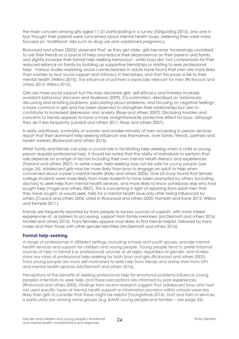the main concern among girls aged 11–21 participating in a survey (Girlguiding 2015), only one in four thought their parents were concerned about mental health issues, believing they were more focused on 'traditional' risks such as drug use and unplanned pregnancy.

Rickwood and others (2005) observed that, as they get older, girls became 'increasingly socialised to use their friends as a source of help and reduce their dependence on their parents and family, and slightly increase their formal help-seeking behaviour', whilst boys did 'not compensate for their reduced reliance on family by building up supportive friendships or starting to seek professional help'. Various studies exploring social connectedness in adults have found that men are more likely than women to lack social support and intimacy in friendships, and that this poses a risk to their mental health (Wilkins 2010). The influence of partners is especially relevant for men (Rickwood and others 2015; Wilkins 2010).

Girls use more social support but this may decrease girls' self-efficacy and thereby increase avoidant behaviour (McLean and Anderson 2009). Co-rumination, described as 'extensively discussing and revisiting problems, speculating about problems, and focusing on negative feelings', is more common in girls and has been observed to strengthen their relationships but also to contribute to increased depression and anxiety (Rose and others 2007). Disclosing troubles and concerns to friends appears to have a more straightforwardly protective effect for boys, although they do it less frequently (Landoll and others 2011; Rose and others 2007).

In early adulthood, a minority of women and smaller minority of men accessing in-person services report that their dominant help-seeking influence was themselves, over family, friends, partners and health workers (Rickwood and others 2015).

Whilst family and friends can play a crucial role in facilitating help-seeking when a child or young person requires professional help, it should be noted that the ability of individuals to perform that role depends on a range of factors including their own mental health literacy and experiences (Farrand and others 2007). In some cases, help-seeking may not be safe for young people (see page 26). Adolescent girls may be more likely than boys to engage an adult to help when concerned about a peer's mental health (Kelly and others 2006). One US study found that female college students were more likely than male students to have been prompted by others (including doctors) to seek help from mental health services, and more likely to know somebody else who had sought help (Vogel and others 2007). This is concerning in light of reporting from adult men that they have sought, or would seek, help for a mental health issue only after being influenced by others (Cusack and others 2004, cited in Rickwood and others 2005; Hamblin and Kane 2015; Wilkins and Kemple 2011).

Friends are frequently reported by trans people to be key sources of support, with more mixed experiences of, or barriers to accessing, support from family members (McDermott and others 2016; McNeil and others 2012). Trans females appear most likely to find friends helpful, followed by trans males and then those with other gender identities (McDermott and others 2016).

### **Formal help-seeking**

A range of professionals in different settings, including schools and youth groups, provide mental health services and support for children and young people. Young people tend to prefer informal sources of help to formal (i.e. professional) sources at all ages, regardless of gender, and studies show low rates of professional help-seeking for both boys and girls (Rickwood and others 2005). Trans young people are more self-motivated to seek help from friends and online than from GPs and mental health services (McDermott and others 2016).

Perceptions of the benefits of seeking professional help for emotional problems influence young people's intentions to seek help, and these perceptions are informed by past experiences (Rickwood and others 2005). Findings from recent research suggest that adolescent boys who had not used specific types of mental health support or information provision within schools were less likely than girls to consider that these might be helpful (YoungMinds 2014). Trust and faith in services is particularly low among some groups (e.g. BAME young people and families – see page 35).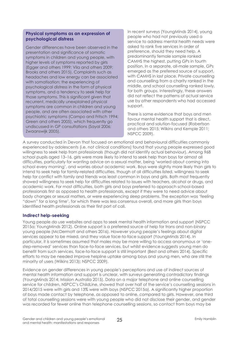### **Physical symptoms as an expression of psychological distress**

Gender differences have been observed in the presentation and significance of somatic symptoms in children and young people, with higher levels of symptoms reported by girls (Egger and others 1999; Vila and others 2009; Brooks and others 2015). Complaints such as headaches and low energy can be associated with somatisation: the experiencing of psychological distress in the form of physical symptoms, and a tendency to seek help for those symptoms. This is significant given that recurrent, medically unexplained physical symptoms are common in children and young people, and are often associated with other psychiatric symptoms (Campo and Fritsch 1994; Green and others 2005), which frequently go undiscussed in GP consultations (Sayal 2006; Zwaanswijk 2005).

In recent surveys (YoungMinds 2014), young people who had not previously used a service to address mental health needs were asked to rank five services in order of preference, should they need help. A predominantly female sample ranked CAMHS the highest, putting GPs in fourth position. In a separate, all-male sample, GPs emerged as the preferred source of support, with CAMHS in last place. Private counselling and counselling from a charity ranked in the middle, and school counselling ranked lowly, for both groups. Interestingly, these answers did not reflect the patterns of actual service use by other respondents who had accessed support.

There is some evidence that boys and men favour mental health support that is direct, practical and solution-focused (Robertson and others 2015; Wilkins and Kemple 2011; NSPCC 2009).

A survey conducted in Devon that focused on emotional and behavioural difficulties commonly experienced by adolescents (i.e. not clinical conditions) found that young people expressed good willingness to seek help from professionals (though did not identify actual behaviour). Among 968 school pupils aged 13–16, girls were more likely to intend to seek help than boys for almost all difficulties, particularly for wanting advice on a sexual matter, being 'worried about coming into school every morning', and worries about academic work. Boys were slightly more likely than girls to intend to seek help for family-related difficulties, though of all difficulties listed, willingness to seek help for conflict with family and friends was least common in boys and girls. Both most frequently showed willingness to seek help for difficulties related to issues with teachers, alcohol or drugs, and academic work. For most difficulties, both girls and boys preferred to approach school-based professionals first as opposed to health professionals, except if they were to need advice about body changes or sexual matters, or were experiencing sleep problems. The exception was 'feeling "down" for a long time', for which there was less consensus overall, and more girls than boys identified health professionals as their first port of call.

### **Indirect help-seeking**

Young people do use websites and apps to seek mental health information and support (NSPCC 2015a; YoungMinds 2012). Online support is a preferred source of help for trans and non-binary young people (McDermott and others 2016). However young people's feelings about digital services appear to be mixed, and they value face-to-face support (YoungMinds 2014). In particular, it is sometimes assumed that males may be more willing to access anonymous or 'onestep-removed' services than face-to-face services, but whilst evidence suggests young men do benefit from such services, face-to-face support is still important (Best and others 2014). Specific efforts to may be needed improve helpline uptake among boys and young men, who are still the minority of users (Wilkins 2013); NSPCC 2009).

Evidence on gender differences in young people's perceptions and use of indirect sources of mental health information and support is unclear, with surveys generating contradictory findings (YoungMinds 2014; Mission Australia 2015). Data on a major telephone and online counselling service for children, NSPCC's ChildLine, showed that over half of the service's counselling sessions in 2014/2015 were with girls and 13% were with boys (NSPCC 2015a). A significantly higher proportion of boys made contact by telephone, as opposed to online, compared to girls. However, one third of total counselling sessions were with young people who did not disclose their gender, and gender was recorded for fewer online than telephone counselling sessions, so contact from boys may be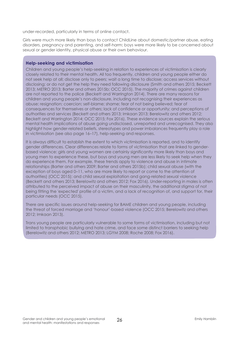under-recorded, particularly in terms of online contact.

Girls were much more likely than boys to contact ChildLine about domestic/partner abuse, eating disorders, pregnancy and parenting, and self-harm; boys were more likely to be concerned about sexual or gender identity, physical abuse or their own behaviour.

### **Help-seeking and victimisation**

Children and young people's help-seeking in relation to experiences of victimisation is clearly closely related to their mental health. All too frequently, children and young people either do not seek help at all; disclose only to peers; wait a long time to disclose; access services without disclosing; or do not get the help they need following disclosure (Smith and others 2015; Beckett 2013; METRO 2013; Barter and others 2015b; OCC 2015). The majority of crimes against children are not reported to the police (Beckett and Warrington 2014). There are many reasons for children and young people's non-disclosure, including not recognising their experiences as abuse; resignation; coercion; self-blame; shame; fear of not being believed; fear of consequences for themselves or others; lack of confidence or opportunity; and perceptions of authorities and services (Beckett and others 2013; Imkaan 2013; Berelowitz and others 2012; Beckett and Warrington 2014; OCC 2015; Fox 2016). These evidence sources explain the serious mental health implications of abuse going undisclosed, unreported and unrecognised. They also highlight how gender-related beliefs, stereotypes and power imbalances frequently play a role in victimisation (see also page 16–17), help-seeking and responses.

It is always difficult to establish the extent to which victimisation is reported, and to identify gender differences. Clear differences relate to forms of victimisation that are linked to genderbased violence: girls and young women are certainly significantly more likely than boys and young men to experience these, but boys and young men are less likely to seek help when they do experience them. For example, these trends apply to violence and abuse in intimate relationships (Barter and others 2009; Barter and others 2015b); child sexual abuse (with the exception of boys aged 0–11, who are more likely to report or come to the attention of authorities) (OCC 2015); and child sexual exploitation and gang-related sexual violence (Beckett and others 2013; Berelowitz and others 2012; Fox 2016). Under-reporting in males is often attributed to the perceived impact of abuse on their masculinity, the additional stigma of not being fitting the 'expected' profile of a victim, and a lack of recognition of, and support for, their particular needs (OCC 2015).

There are specific issues around help-seeking for BAME children and young people, including the threat of forced marriage and 'honour'-based violence (OCC 2015; Berelowitz and others 2012; Imkaan 2013).

Trans young people are particularly vulnerable to some forms of victimisation, including but not limited to transphobic bullying and hate crime, and face some distinct barriers to seeking help (Berelowitz and others 2012; METRO 2013; LGYM 2008; Roche 2008; Fox 2016).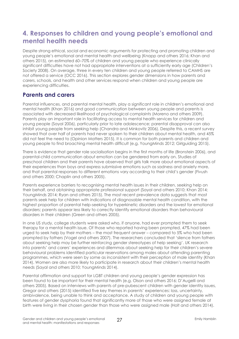# **4. Responses to children and young people's emotional and mental health needs**

Despite strong ethical, social and economic arguments for protecting and promoting children and young people's emotional and mental health and wellbeing (Knapp and others 2016; Khan and others 2015), an estimated 60–70% of children and young people who experience clinically significant difficulties have not had appropriate interventions at a sufficiently early age (Children's Society 2008). On average, three in every ten children and young people referred to CAMHS are not offered a service (OCC 2016). This section explores gender dimensions in how parents and carers, schools, and health and other services respond when children and young people are experiencing difficulties.

### **Parents and carers**

Parental influences, and parental mental health, play a significant role in children's emotional and mental health (Khan 2016) and good communication between young people and parents is associated with decreased likelihood of psychological complaints (Moreno and others 2009). Parents play an important role in facilitating access to mental health services for children and young people (Sayal 2006), particularly prior to late adolescence; parental disapproval can also inhibit young people from seeking help (Chandra and Minkovitz 2006). Despite this, a recent survey showed that over half of parents had never spoken to their children about mental health, and 45% did not feel the need to (Opinion Matters 2015). It is common for both parents and children and young people to find broaching mental health difficult (e.g. YoungMinds 2012; Girlguiding 2015).

There is evidence that gender role socialisation begins in the first months of life (Bronstein 2006), and parental-child communication about emotion can be gendered from early on. Studies of preschool children and their parents have observed that girls talk more about emotional aspects of their experiences than boys and express submissive emotions such as sadness and anxiety more, and that parental responses to different emotions vary according to their child's gender (Fivush and others 2000; Chaplin and others 2005).

Parents experience barriers to recognising mental health issues in their children, seeking help on their behalf, and obtaining appropriate professional support (Sayal and others 2010; Khan 2014; YoungMinds 2014; Ryan and others 2015). The most recent prevalence data suggests that most parents seek help for children with indications of diagnosable mental health condition, with the highest proportion of parental help-seeking for hyperkinetic disorders and the lowest for emotional disorders; parents appear less likely to correctly identify emotional disorders than behavioural disorders in their children (Green and others 2005).

In one US study, college students were asked who, if anyone, had ever prompted them to seek therapy for a mental health issue. Of those who reported having been prompted, 47% had been urged to seek help by their mothers – the most frequent answer – compared to 5% who had been prompted by fathers (Vogel and others 2007). The researchers concluded that 'silence from fathers about seeking help may be further reinforcing gender stereotypes of help seeking'. UK research into parents' and carers' experiences and dilemmas about seeking help for their children's severe behavioural problems identified particular reservations among males about attending parenting programmes, which were seen by some as inconsistent with their perception of male identity (Khan 2014). Women are also more likely to participate in research about their children's mental health needs (Sayal and others 2010; YoungMinds 2014).

Parental affirmation and support for LGBT children and young people's gender expression has been found to be important for their mental health (e.g. Olson and others 2016; D'Augelli and others 2005). Based on interviews with parents of pre-pubescent children with gender identity issues, Gregor and others (2015) identified five key themes in parents' experiences: loss, uncertainty, ambivalence, being unable to think and acceptance. A study of children and young people with features of gender dysphoria found that significantly more of those who were assigned female at birth were living in their chosen gender than those who were assigned male (Holt and others 2014).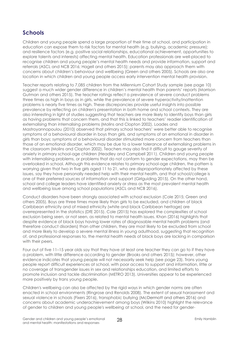### **Schools**

Children and young people spend a large proportion of their time at school, and participation in education can expose them to risk factors for mental health (e.g. bullying, academic pressure); and resilience factors (e.g. positive social relationships, educational achievement, opportunities to explore talents and interests) affecting mental health. Education professionals are well-placed to recognise children and young people's mental health needs and provide information, support and referrals (ASCL and NCB 2016; Hagell and others 2015); parents may also approach them with concerns about children's behaviour and wellbeing (Green and others 2005). Schools are also one location in which children and young people access early intervention mental health provision.

Teacher reports relating to 7,085 children from the Millennium Cohort Study sample (see page 10) suggest a much wider gender difference in children's mental health than parents' reports (Morrison Gutman and others 2015). The teacher ratings reflect a prevalence of severe conduct problems three times as high in boys as in girls, while the prevalence of severe hyperactivity/inattention problems is nearly five times as high. These discrepancies provide useful insights into possible prevalence by reflecting on children's presentation in both home and school contexts. They are also interesting in light of studies suggesting that teachers are more likely to identify boys than girls as having problems that concern them, and that this is linked to teachers' readier identification of externalising than internalising problems (Molins and Clopton 2002). Loades and Mastroyannopoulou (2010) observed that primary school teachers' were better able to recognise symptoms of a behavioural disorder in boys than girls, and symptoms of an emotional in disorder in girls than boys; symptoms of a behavioural disorder stimulated more concern from teachers than those of an emotional disorder, which may be due to a lower tolerance of externalising problems in the classroom (Molins and Clopton 2002). Teachers may also find it difficult to gauge severity of anxiety in primary school-age children (Headley and Campbell 2011). Children and young people with internalising problems, or problems that do not conform to gender expectations, may then be overlooked in school. Although this evidence relates to primary school-age children, the pattern is worrying given that two in five girls aged 11 to 21, who are disproportionately affected by these issues, say they have personally needed help with their mental health, and that school/college is one of their preferred sources of information and support (Girlguiding 2015). On the other hand, school and college leaders have identified anxiety or stress as the most prevalent mental health and wellbeing issue among school populations (ASCL and NCB 2016).

Conduct disorders have been strongly associated with school exclusion (Cole 2015; Green and others 2005). Boys are three times more likely than girls to be excluded, and children of black Caribbean ethnicity and of mixed ethnicity (white and black Caribbean heritage) are overrepresented in the statistics (DfE 2015). Cole (2015) has explored the complexities of school exclusion being seen, or not seen, as related to mental health issues. Khan (2016) highlights that despite evidence of black boys having lower rates of diagnosable mental health problems (and therefore conduct disorders) than other children, they are most likely to be excluded from school and more likely to develop a severe mental illness in young adulthood, suggesting that recognition of, and professional responses to, the mental health needs of black boys are lacking in comparison with their peers.

Four out of five 11–15 year olds say that they have at least one teacher they can go to if they have a problem, with little difference according to gender (Brooks and others 2015); however, other evidence indicates that young people will not necessarily seek help (see page 23). Trans young people report difficult experiences at school, with poor access to support and information, little or no coverage of transgender issues in sex and relationships education, and limited efforts to promote inclusion and tackle discrimination (METRO 2013). Universities appear to be experienced more positively by trans young people.

Children's wellbeing can also be affected by the rigid ways in which gender norms are often enacted in school environments (Ringrose and Renolds 2008). The extent of sexual harassment and sexual violence in schools (Fixers 2016), transphobic bullying (McDermott and others 2016) and concerns about academic underachievement among boys (Wilkins 2010) highlight the relevance of gender to children and young people's wellbeing at school, and the need for gender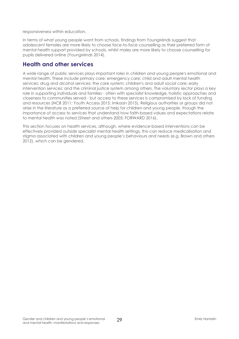responsiveness within education.

In terms of what young people want from schools, findings from YoungMinds suggest that adolescent females are more likely to choose face-to-face counselling as their preferred form of mental health support provided by schools, whilst males are more likely to choose counselling for pupils delivered online (YoungMinds 2014).

### **Health and other services**

A wide range of public services plays important roles in children and young people's emotional and mental health. These include primary care; emergency care; child and adult mental health services; drug and alcohol services; the care system; children's and adult social care; early intervention services; and the criminal justice system among others. The voluntary sector plays a key role in supporting individuals and families - often with specialist knowledge, holistic approaches and closeness to communities served - but access to these services is compromised by lack of funding and resources (NCB 2011; Youth Access 2015; Imkaan 2015). Religious authorities or groups did not arise in the literature as a preferred source of help for children and young people, though the importance of access to services that understand how faith-based values and expectations relate to mental health was noted (Street and others 2005; FORWARD 2016).

This section focuses on health services, although, where evidence-based interventions can be effectively provided outside specialist mental health settings, this can reduce medicalisation and stigma associated with children and young people's behaviours and needs (e.g. Brown and others 2012), which can be gendered.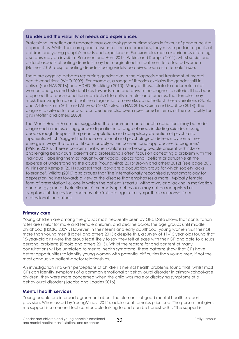#### **Gender and the visibility of needs and experiences**

Professional practice and research may overlook gender dimensions in favour of gender-neutral approaches. Whilst there are good reasons for such approaches, they miss important aspects of children and young people's needs and experiences. For example, male experiences of eating disorders may be invisible (Räisänen and Hunt 2014; Wilkins and Kemple 2011), whilst social and cultural aspects of eating disorders may be marginalised in treatment for affected women (Holmes 2016) despite eating disorders being widely perceived seen as a 'female' issue.

There are ongoing debates regarding gender bias in the diagnosis and treatment of mental health conditions (WHO 2009). For example, a range of theories explains the gender split in autism (see NAS 2016) and ADHD (Rucklidge 2010). Many of these relate to under-referral of women and girls and historical bias towards men and boys in the diagnostic criteria. It has been proposed that each condition manifests differently in males and females; that females may mask their symptoms; and that the diagnostic frameworks do not reflect these variations (Gould and Ashton-Smith 2011 and Attwood 2007, cited in NAS 2016; Quinn and Madhoo 2014). The diagnostic criteria for conduct disorder have also been questioned in terms of their suitability for girls (Moffitt and others 2008).

The Men's Health Forum has suggested that common mental health conditions may be underdiagnosed in males, citing gender disparities in a range of areas including suicide, missing people, rough sleepers, the prison population, and compulsory detention of psychiatric inpatients, which 'suggest that male emotional and psychological distress may sometimes emerge in ways that do not fit comfortably within conventional approaches to diagnosis' (Wilkins 2010). There is concern that when children and young people present with risky or challenging behaviours, parents and professionals often focus on correcting a problem with the individual, labelling them as naughty, anti-social, oppositional, defiant or disruptive at the expense of understanding the cause (YoungMinds 2016; Brown and others 2012) (see page 20). Wilkins and Kemple (2011) suggest that 'boys are a population group for which society lacks tolerance'. Wilkins (2010) also argues that 'the internationally recognised symptomatology for depression inclines towards a view of the disease that emphasises a more "typically female" form of presentation i.e. one in which the patient is tearful, withdrawn, and lacking in motivation and energy'; more 'typically male' externalising behaviours may not be recognised as symptoms of depression, and may also 'militate against a sympathetic response' from professionals and others.

#### **Primary care**

Young children are among the groups most frequently seen by GPs. Data shows that consultation rates are similar for male and female children, and decline across the age groups until middle childhood (HSCIC 2009). However, in their teens and early adulthood, young women visit their GP more than young men (Hagell and others 2015); despite this, a survey of 11–15 year olds found that 15-year-old girls were the group least likely to say they felt at ease with their GP and able to discuss personal problems (Brooks and others 2015). Whilst the reasons for and content of many consultations will be unrelated to mental health symptoms, these patterns show that GPs have better opportunities to identify young women with potential difficulties than young men, if not the most conducive patient-doctor relationships.

An investigation into GPs' perceptions of children's mental health problems found that, whilst most GPs can identify symptoms of a common emotional or behavioural disorder in primary school-age children, they were more concerned when the child was male or displaying symptoms of a behavioural disorder (Jacobs and Loades 2016).

#### **Mental health services**

Young people are in broad agreement about the elements of good mental health support provision. When asked by YoungMinds (2014), adolescent females prioritised 'The person that gives me support is someone I feel comfortable talking to and can be honest with'; 'The support is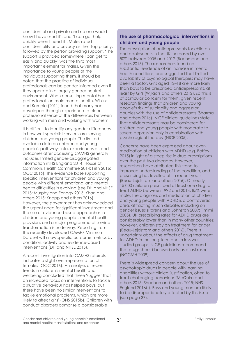confidential and private and no one would know I have used it'; and 'I can get help quickly when I need it'. Males rated confidentiality and privacy as their top priority, followed by the person providing support. 'The support is provided somewhere I can get to easily and quickly' was the third most important element for males. Given the importance to young people of the individuals supporting them, it should be noted that the practice of individual professionals can be gender-informed even if they operate in a largely gender-neutral environment. When consulting mental health professionals on male mental health, Wilkins and Kemple (2011) found that many had developed through experience 'a clear professional sense of the differences between working with men and working with women'.

It is difficult to identify any gender differences in how well specialist services are serving children and young people. The limited available data on children and young people's pathways into, experiences of, and outcomes after accessing CAMHS generally includes limited gender-disaggregated information (NHS England 2014; House of Commons Health Committee 2014; Frith 2016; OCC 2016). The evidence base supporting specific interventions for children and young people with different emotional and mental health difficulties is evolving (see DH and NHSE 2015; Murphy and Fonagy 2013; Khan and others 2015; Knapp and others 2016). However, the government has acknowledged the urgent need for significant investment and the use of evidence-based approaches in children and young people's mental health provision, and a major programme of service transformation is underway. Reporting from the recently developed CAMHS Minimum Dataset will allow specific outcome metrics by condition, activity and evidence-based interventions (DH and NHSE 2015).

A recent investigation into CAMHS referrals indicates a slight over-representation of females (OCC 2016). An analysis of recent trends in children's mental health and wellbeing concluded that these 'suggest that an increased focus on interventions to tackle disruptive behaviour has helped boys, but there have been no similar interventions to tackle emotional problems, which are more likely to affect girls' (ONS 2015b). Children with conduct disorders comprise a considerable

### **The use of pharmacological interventions in children and young people**

The prescription of antidepressants for children and adolescents in the UK increased by over 50% between 2005 and 2012 (Bachmann and others 2016). The researchers found no substantial evidence of an increase in mental health conditions, and suggested that limited availability of psychological therapies may have been a factor. Girls aged 12–18 are more likely than boys to be prescribed antidepressants, at least by GPs (Wijlaars and others 2012), so this is of particular concern for them, given recent research findings that children and young people's risk of suicidality and aggression doubles with the use of antidepressants (Sharma and others 2016). NICE clinical guidelines state that antidepressants may be considered for children and young people with moderate to severe depression only in combination with psychological therapy (NICE 2005).

Concerns have been expressed about overmedication of children with ADHD (e.g. Boffey 2015) in light of a steep rise in drug prescriptions over the past two decades. However, researchers have attributed this trend to improved understanding of the condition, and prescribing has levelled off in recent years (Beau-Lejdstrom and others 2016). Of nearly 15,000 children prescribed at least one drug to treat ADHD between 1992 and 2013, 85% were male. The diagnosis and medication of children and young people with ADHD is a controversial area, attracting much debate, including on gender issues (Parens and Johnston 2009; Timimi 2005). UK prescribing rates for ADHD drugs are considerably lower than in many other countries; however, children stay on treatment for longer (Beau-Lejdstrom and others 2016). There is uncertainty about the effects of drug treatment for ADHD in the long-term and in less wellstudied groups; NICE guidelines recommend that drugs should be used only as a last resort (NCCMH 2009).

There is widespread concern about the use of psychotropic drugs in people with learning disabilities without clinical justification, often to treat challenging behaviour (McQuire and others 2015; Sheehan and others 2015; NHS England 2016b). Boys and young men are likely to be disproportionately affected by this issue (see page 37).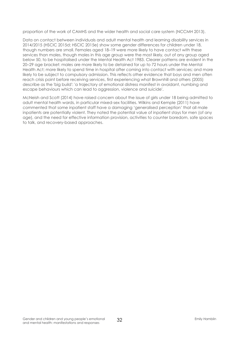proportion of the work of CAMHS and the wider health and social care system (NCCMH 2013).

Data on contact between individuals and adult mental health and learning disability services in 2014/2015 (HSCIC 2015d; HSCIC 2015e) show some gender differences for children under 18, though numbers are small. Females aged 18–19 were more likely to have contact with these services than males, though males in this age group were the most likely, out of any group aged below 50, to be hospitalised under the Mental Health Act 1983. Clearer patterns are evident in the 20–29 age bracket: males are more likely to be detained for up to 72 hours under the Mental Health Act; more likely to spend time in hospital after coming into contact with services; and more likely to be subject to compulsory admission. This reflects other evidence that boys and men often reach crisis point before receiving services, first experiencing what Brownhill and others (2005) describe as the 'big build': 'a trajectory of emotional distress manifest in avoidant, numbing and escape behaviours which can lead to aggression, violence and suicide'.

McNeish and Scott (2014) have raised concern about the issue of girls under 18 being admitted to adult mental health wards, in particular mixed-sex facilities. Wilkins and Kemple (2011) have commented that some inpatient staff have a damaging 'generalised perception' that all male inpatients are potentially violent. They noted the potential value of inpatient stays for men (of any age), and the need for effective information provision, activities to counter boredom, safe spaces to talk, and recovery-based approaches.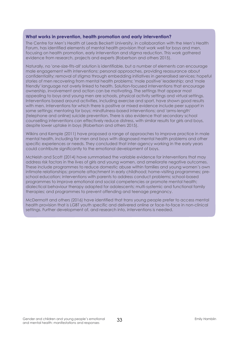### **What works in prevention, health promotion and early intervention?**

The Centre for Men's Health at Leeds Beckett University, in collaboration with the Men's Health Forum, has identified elements of mental health provision that work well for boys and men, focusing on health promotion, early intervention and stigma reduction. This work gathered evidence from research, projects and experts (Robertson and others 2015).

Naturally, no 'one-size-fits-all' solution is identifiable, but a number of elements can encourage male engagement with interventions: personal approaches, providing reassurance about confidentiality; removal of stigma through embedding initiatives in generalised services; hopeful stories of men recovering from mental health problems; 'male positive' leadership; and 'male friendly' language not overly linked to health. Solution-focused interventions that encourage ownership, involvement and action can be motivating. The settings that appear most appealing to boys and young men are schools, physical activity settings and virtual settings. Interventions based around activities, including exercise and sport, have shown good results with men. Interventions for which there is positive or mixed evidence include peer support in some settings; mentoring for boys; mindfulness-based interventions; and 'arms-length' (telephone and online) suicide prevention. There is also evidence that secondary school counselling interventions can effectively reduce distress, with similar results for girls and boys, despite lower uptake in boys (Robertson and others 2015).

Wilkins and Kemple (2011) have proposed a range of approaches to improve practice in male mental health, including for men and boys with diagnosed mental health problems and other specific experiences or needs. They concluded that inter-agency working in the early years could contribute significantly to the emotional development of boys.

McNeish and Scott (2014) have summarised the variable evidence for interventions that may address risk factors in the lives of girls and young women, and ameliorate negative outcomes. These include programmes to reduce domestic abuse within families and young women's own intimate relationships; promote attachment in early childhood; home-visiting programmes; preschool education; interventions with parents to address conduct problems; school-based programmes to improve emotional and social competencies or promote mental health; dialectical behaviour therapy adapted for adolescents; multi-systemic and functional family therapies; and programmes to prevent offending and teenage pregnancy.

McDermott and others (2016) have identified that trans young people prefer to access mental health provision that is LGBT youth specific and delivered online or face-to-face in non-clinical settings. Further development of, and research into, interventions is needed.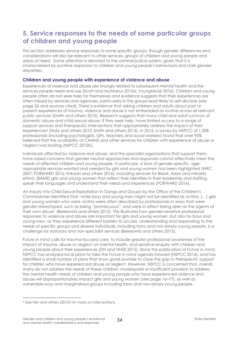# **5. Service responses to the needs of some particular groups of children and young people**

This section addresses service responses to some specific groups, though gender differences and considerations will also be relevant to other services, groups of children and young people and areas of need. Some attention is devoted to the criminal justice system, given that it is characterised by punitive responses to children and young people's behaviours and stark gender disparities.

### **Children and young people with experience of violence and abuse**

Experiences of violence and abuse are strongly related to subsequent mental health and the services people need and use (Scott and McManus 2015a; YoungMinds 2016). Children and young people often do not seek help for themselves and evidence suggests that their experiences are often missed by services and agencies, particularly in the groups least likely to self-disclose (see page 26 and sources cited). There is evidence that asking children and adults about past or present experiences of trauma, violence and abuse is not embedded as routine across all relevant public services (Smith and others 2015). Research suggests that many child and adult survivors of domestic abuse and child sexual abuse, if they seek help, have limited access to a range of support services and therapeutic interventions that appropriately address the impact of their experiences<sup>4</sup> (Holly and others 2012; Smith and others 2015). In 2015, a survey by NSPCC of 1,308 professionals (including psychologists, GPs, teachers and social workers) found that over 95% believed that the availability of CAMHS and other services for children with experience of abuse or neglect was lacking (NSPCC 2015b).

Individuals affected by violence and abuse, and the specialist organisations that support them, have raised concerns that gender-neutral approaches and responses cannot effectively meet the needs of affected children and young people. In particular, a lack of gender-specific, ageappropriate services wanted and needed by girls and young women has been highlighted (WRC 2007; FORWARD 2016; Imkaan and others 2016), including services for Black, Asian and minority ethnic (BAME) girls and young women that reflect their identities in their leadership and staffing, speak their languages and understand their needs and experiences (FORWARD 2016).

An Inquiry into Child Sexual Exploitation In Gangs and Groups by the Office of the Children's Commissioner identified that 'while boys and young men might not be identified as victims, […] girls and young women who were victims were often described by professionals in ways that were gender-stereotyped, such as being "promiscuous", and were in effect being seen as the agents of their own abuse' (Berelowitz and others 2012). This illustrates how gender-sensitive professional responses to violence and abuse are important for girls and young women, but also for boys and young men, as they experience different barriers to access. Understanding and responding to the needs of specific groups and diverse individuals, including trans and non-binary young people, is a challenge for statutory and non-specialist services (Berelowitz and others 2013).

*Future in mind* calls for trauma-focused care, to include greater professional awareness of the impact of trauma, abuse or neglect on mental health, and sensitive enquiry with children and young people about their experiences (DH and NHSE 2015). Since the publication of *Future in mind*, NSPCC has analysed local plans to take the *Future in mind* agenda forward (NSPCC 2016), and has identified a small number of plans that show good promise to close the gap in therapeutic support for children who have experienced abuse or neglect. However, NSPCC is concerned that, overall, many do not address the needs of these children. Inadequate or insufficient provision to address the mental health needs of children and young people who have experienced violence and abuse will disproportionately impact girls and young women (see page 16–17), as well as vulnerable boys and marginalised groups including trans and non-binary young people.

 $\overline{a}$ <sup>4</sup> See Itzin and others (2010) for more on interventions.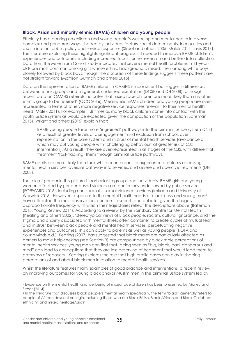### **Black, Asian and minority ethnic (BAME) children and young people**

Ethnicity has a bearing on children and young people's wellbeing and mental health in diverse, complex and gendered ways, shaped by individual factors, social determinants, inequalities and discrimination, public policy and service responses (Street and others 2005; Malek 2011; Lavis 2014). The literature exploring these highlights significant progress still needed to improve BAME children's experiences and outcomes, including increased focus, further research and better data collection. Data from the Millennium Cohort Study indicates that severe mental health problems in 11-yearolds are most common among girls whose ethnic background is mixed, then among white boys, closely followed by black boys, though the discussion of these findings suggests these patterns are not straightforward (Morrison Gutman and others 2015).

Data on the representation of BAME children in CAMHS is inconsistent but suggests differences between ethnic groups and, in general, under-representation (DCSF and DH 2008), although recent data on CAMHS referrals indicates that mixed race children are more likely than any other ethnic group to be referred<sup>5</sup> (OCC 2016). Meanwhile, BAME children and young people are overrepresented in terms of other, more negative service responses relevant to their mental health need (Malek 2011). For example, 1.8 times as many black children come into contact with the youth justice system as would be expected given the composition of the population (Bateman 2015). Wright and others (2015) explain that:

BAME young people face more 'ingrained' pathways into the criminal justice system (CJS) as a result of greater levels of disengagement and exclusion from school, over representation in the care system and mistrust of mental health services (avoidance of which may put young people with 'challenging behaviour' at greater risk of CJS intervention). As a result, they are over-represented in all stages of the CJS, with differential treatment 'fast-tracking' them through criminal justice pathways.

BAME adults are more likely than their white counterparts to experience problems accessing mental health services, aversive pathway into services, and severe and coercive treatments (DH 2003).

The role of gender in this picture is particular to groups and individuals. BAME girls and young women affected by gender-based violence are particularly underserved by public services (FORWARD 2016), including non-specialist sexual violence services (Imkaan and University of Warwick 2015). However, responses to the mental health needs of black boys and young men<sup>6</sup> have attracted the most observation, concern, research and debate, given the hugely disproportionate frequency with which their trajectories reflect the descriptions above (Bateman 2015; Young Review 2014). According to a review by the Sainsbury Centre for Mental Health (Keating and others 2002), 'stereotypical views of Black people, racism, cultural ignorance, and the stigma and anxiety associated with mental illness often combine' to create cycles of mutual fear and mistrust between black people and mental health services, perpetuating negative experiences and outcomes. This can apply to parents as well as young people (ROTA and YoungMinds n.d.). Keating (2007) has suggested that black males are particularly affected as barriers to male help-seeking (see Section 3) are compounded by black male perceptions of mental health services: young men can find that 'being seen as "big, black, bad, dangerous and mad" can lead to conceptions that they are less deserving of treatment that would lead them to pathways of recovery.' Keating explores the role that high profile cases can play in shaping perceptions of and about black men in relation to mental health services.

Whilst the literature features many examples of good practice and interventions, a recent review on improving outcomes for young black and/or Muslim men in the criminal justice system led by

 $\overline{a}$ 

<sup>5</sup> Evidence on the mental health and wellbeing of mixed race children has been presented by Morley and Street (2014)

<sup>6</sup> In the literature that discusses black people's mental health specifically, the term 'black' generally refers to people of African descent or origin, including those who are Black British, Black African and Black Caribbean ethnicity, and mixed heritage/origin.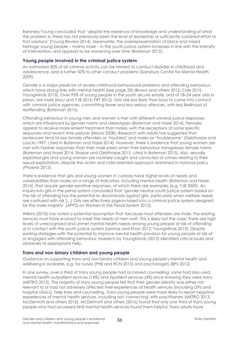Baroness Young concluded that 'despite the existence of knowledge and understanding of what the problem is, there has not previously been the level of leadership or sufficiently sustained effort to find solutions' (Young Review 2014). Meanwhile, the overrepresentation of black and mixed heritage young people – mainly male – in the youth justice system increases in line with the intensity of intervention, and appears to be worsening over time (Bateman 2015).

### **Young people involved in the criminal justice system**

An estimated 30% of all criminal activity can be related to conduct disorder in childhood and adolescence, and a further 50% to other conduct problems (Sainsbury Centre for Mental Health 2009).

Gender is a major predictor of severe childhood behavioural problems and offending behaviour, which have strong links with mental health (see page 20) (Brown and others 2012; Cole 2015; YoungMinds 2013). Over 95% of young people in the youth secure estate, and of 18–24 year olds in prison, are male (MoJ and YJB 2016; PRT 2012). Girls are less likely than boys to come into contact with criminal justice agencies, committing fewer and less serious offences, with less likelihood of reoffending (Bateman 2015).

Offending behaviour in young men and women is met with different criminal justice responses, which are influenced by gender norms and stereotypes (Bateman and Hazel 2014). Females appear to receive more lenient treatment than males, with the exceptions of some specific responses and recent time periods (Nacro 2008). Research with adults has suggested that sentencers tend to see female offenders as 'troubled' and males as 'troublesome' (Gelsthorpe and Loucks 1997, cited in Bateman and Hazel 2014). However, there is evidence that young women are met with harsher responses than their male peers when their behaviour transgresses female norms (Bateman and Hazel 2014; Sharpe and Gelsthorpe 2015, cited in Bateman 2015). Also, sexually exploited girls and young women are routinely caught and convicted of crimes relating to their sexual exploitation, despite the victim and child-oriented approach enshrined in national policy (Phoenix 2012).

There is evidence that girls and young women in custody have higher levels of needs and vulnerabilities than males on a range of indicators, including mental health (Bateman and Hazel 2014), that require gender-sensitive responses, of which there are examples (e.g. YJB 2009). An inquiry into girls in the penal system concluded that 'gender neutral youth justice system based on the risk of offending has the potential to discriminate against girls, particularly when welfare needs are confused with risk […] Girls are effectively pigeon-holed into a criminal justice system designed for the male majority' (APPG on Women in the Penal System 2012).

Wilkins (2010) has noted a potential assumption that 'because most offenders are male, the existing services must have evolved to meet the needs of men well'. This is likely not the case: there are high levels of unrecognised and unmet mental health needs among young people at risk of offending or in contact with the youth justice system (Lennox and Khan 2013; YoungMinds 2013). Despite existing strategies with the potential to improve mental health provision for young people at risk of or engaged with offending behaviour, research by YoungMinds (2013) identified critical issues and obstacles to appropriate help.

### **Trans and non-binary children and young people**

Guidance on supporting trans and non-binary children and young people's mental health and wellbeing is available, e.g. for nurses (PHE and RCN 2015) and psychologists (BPS 2012).

In one survey, over a third of trans young people had accessed counselling; some had also used mental health outpatient services (14%) and inpatient services (4%) since knowing they were trans (METRO 2013). The majority of trans young people felt that their gender identity was either not relevant to or had not adversely affected their experiences of health services (including GPs and hospital clinics), help lines and counselling. Trans young people were more likely to report negative experiences of mental health services, including not 'connecting' with practitioners (METRO 2013; McDermott and others 2016). McDermott and others (2016) found that only one third of trans young people who had accessed NHS mental health services found them helpful. Trans adults have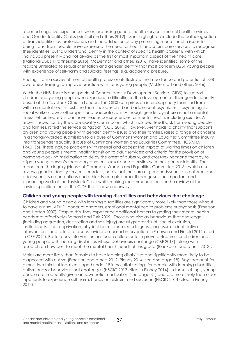reported negative experiences when accessing general health services, mental health services and Gender Identity Clinics (McNeil and others 2012). Issues highlighted include the pathologisation of trans identities by professionals and the attribution of any presenting mental health issues to being trans. Trans people have expressed the need for health and social care services to recognise their identities, but to understand identity in the context of specific health problems with which individuals present – and not always as the first or most important aspect of their health care (National LGB&T Partnership 2016). McDermott and others (2016) have identified some of the reasons unrelated to sexual orientation and gender identity that most concern LGBT young people with experience of self-harm and suicidal feelings, e.g. academic pressure.

Findings from a survey of mental health professionals illustrate the importance and potential of LGBT awareness training to improve practice with trans young people (McDermott and others 2016).

Within the NHS, there is one specialist Gender Identity Development Service (GIDS) to support children and young people who experience difficulties in the development of their gender identity, based at the Tavistock Clinic in London. The GIDS comprises an interdisciplinary team led from within a mental health trust: the team includes child and adolescent psychiatrists, psychologists, social workers, psychotherapists and paediatricians. Although gender dysphoria is not a mental illness, left untreated, it can have serious consequences for mental health, including suicide. A recent inspection by the Care Quality Commission, which included feedback from young people and families, rated the service as 'good' (CQC 2016). However, Mermaids, a charity that supports children and young people with gender identity issues and their families, raises a range of concerns in a strongly-worded submission to a House of Commons Women and Equalities Committee inquiry into transgender equality (House of Commons Women and Equalities Committee, HC390 Ev TRA0156). These include problems with referral and access; the impact of waiting times on children and young people's mental health; transition to adult services; and criteria for the provision of hormone-blocking medication to delay the onset of puberty, and cross-sex hormone therapy to align a young person's secondary physical sexual characteristics with their gender identity. The report from the inquiry (House of Commons Women and Equalities Committee 2016), which also reviews gender identity services for adults, notes that the care of gender dysphoria in children and adolescents is a contentious and ethically complex area. It recognises the important and pioneering work of the Tavistock Clinic whilst making recommendations for the review of the service specification for the GIDS that is now underway.

#### **Children and young people with learning disabilities and behaviours that challenge**

Children and young people with learning disabilities are significantly more likely than those without to have autism, ADHD, conduct disorders, emotional mental health problems or psychosis (Emerson and Hatton 2007). Despite this, they experience additional barriers to getting their mental health needs met effectively (Bernard and Turk 2009). Those who display behaviours that challenge (including aggression, destruction and self-injury) are at greater risk of 'social exclusion, institutionalisation, deprivation, physical harm, abuse, misdiagnosis, exposure to ineffective interventions, and failure to access evidence-based interventions' (Emerson and Einfeld 2011 cited in CBF 2014). Better early intervention has been called for to improve outcomes for children and young people with learning disabilities whose behaviours challenge (CBF 2014), along with research on how best to meet the mental health needs of this group (Blackburn and others 2013).

Males are more likely than females to have learning disabilities and significantly more likely to be diagnosed with autism (Emerson and others 2012; Pinney 2014; see also page 18). Boys account for almost two thirds of inpatients aged under 18 in hospital settings for people with learning disabilities, autism and/or behaviour that challenges (HSCIC 2013 cited in Pinney 2014). In these settings, young people are frequently given antipsychotic medication (see page 31) and are more likely than older inpatients to experience self-harm, hands-on restraint and seclusion (HSCIC 2014 cited in Pinney 2014).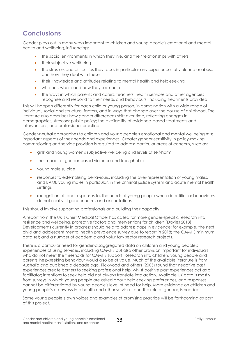# **Conclusions**

Gender plays out in many ways important to children and young people's emotional and mental health and wellbeing, influencing:

- the social environments in which they live, and their relationships with others
- their subjective wellbeing
- the stressors and difficulties they face, in particular any experiences of violence or abuse, and how they deal with these
- their knowledge and attitudes relating to mental health and help-seeking
- whether, where and how they seek help
- the ways in which parents and carers, teachers, health services and other agencies recognise and respond to their needs and behaviours, including treatments provided.

This will happen differently for each child or young person, in combination with a wide range of individual, social and structural factors, and in ways that change over the course of childhood. The literature also describes how gender differences shift over time, reflecting changes in demographics; stressors; public policy; the availability of evidence-based treatments and interventions; and professional practice.

Gender-neutral approaches to children and young people's emotional and mental wellbeing miss important aspects of their needs and experiences. Greater gender-sensitivity in policy-making, commissioning and service provision is required to address particular areas of concern, such as:

- girls' and young women's subjective wellbeing and levels of self-harm
- the impact of gender-based violence and transphobia
- young male suicide
- responses to externalising behaviours, including the over-representation of young males, and BAME young males in particular, in the criminal justice system and acute mental health settings
- recognition of, and responses to, the needs of young people whose identities or behaviours do not neatly fit gender norms and expectations.

This should involve supporting professionals and building their capacity.

A report from the UK's Chief Medical Officer has called for more gender-specific research into resilience and wellbeing, protective factors and interventions for children (Davies 2013). Developments currently in progress should help to address gaps in evidence: for example, the next child and adolescent mental health prevalence survey due to report in 2018; the CAMHS minimum data set; and a number of academic and voluntary sector research projects.

There is a particular need for gender-disaggregated data on children and young people's experiences of using services, including CAMHS but also other provision important for individuals who do not meet the thresholds for CAMHS support. Research into children, young people and parents' help-seeking behaviour would also be of value. Much of the available literature is from Australia and published a decade ago. Rickwood and others (2005) found that negative past experiences create barriers to seeking professional help, whilst positive past experiences act as a facilitator; intentions to seek help did not always translate into action. Available UK data is mostly from surveys in which young people are asked about help-seeking preferences, and responses cannot be differentiated by young people's level of need for help. More evidence on children and young people's pathways into health and other services, and the role of gender, is needed.

Some young people's own voices and examples of promising practice will be forthcoming as part of this project.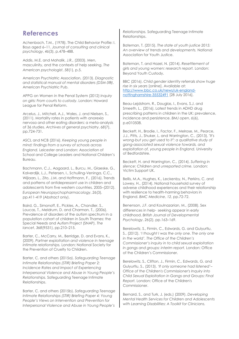### **References**

Achenbach, T.M., (1978). The Child Behavior Profile: I. Boys aged 6–11. *Journal of consulting and clinical psychology*, *46*(3), p.478–488.

Addis, M.E. and Mahalik, J.R., (2003). Men, masculinity, and the contexts of help seeking. *The American psychologist*, *58*(1), p.5.

American Psychiatric Association, (2013). *Diagnostic and statistical manual of mental disorders (DSM-5®)*. American Psychiatric Pub.

APPG on Women in the Penal System (2012) *Inquiry on girls: From courts to custody*. London: Howard League for Penal Reform.

Arcelus, J., Mitchell, A.J., Wales, J. and Nielsen, S., (2011). Mortality rates in patients with anorexia nervosa and other eating disorders: a meta-analysis of 36 studies. *Archives of general psychiatry*, *68*(7), pp.724-731.

ASCL and NCB (2016). *Keeping young people in mind: findings from a survey of schools across England.* Leicester and London: Association of School and College Leaders and National Children's Bureau.

Bachmann, C.J., Aagaard, L., Burcu, M., Glaeske, G., Kalverdijk, L.J., Petersen, I., Schuiling-Veninga, C.C., Wijlaars, L., Zito, J.M. and Hoffmann, F., (2016). Trends and patterns of antidepressant use in children and adolescents from five western countries, 2005–(2012). *European Neuropsychopharmacology*, *26*(3), pp.411-419 (Abstract only).

Baird, G., Simonoff, E., Pickles, A., Chandler, S., Loucas, T., Meldrum, D. and Charman, T., (2006). Prevalence of disorders of the autism spectrum in a population cohort of children in South Thames: the Special Needs and Autism Project (SNAP). *The lancet*, *368*(9531), pp.210–215.

Barter, C., McCarry, M., Berridge, D. and Evans, K., (2009). *Partner exploitation and violence in teenage intimate relationships.* London: National Society for the Prevention of Cruelty to Children.

Barter, C. and others (2015a). *Safeguarding Teenage Intimate Relationships (STIR) Briefing Paper 2: Incidence Rates and Impact of Experiencing Interpersonal Violence and Abuse in Young People's Relationships.* Safeguarding Teenage Intimate Relationships.

Barter, C. and others (2015b). *Safeguarding Teenage Intimate Relationships (STIR) Briefing Paper 4: Young People's Views on Intervention and Prevention for Interpersonal Violence and Abuse in Young People's* 

*Relationships.* Safeguarding Teenage Intimate Relationships.

Bateman, T. (2015). *The state of youth justice 2015: An overview of trends and developments.* National Association for Youth Justice.

Bateman, T. and Hazel, N. (2014). *Resettlement of girls and young women: research report.* London: Beyond Youth Custody.

BBC (2016). *Child gender identity referrals show huge rise in six years* [online]. Available at: [http://www.bbc.co.uk/news/uk-england](http://www.bbc.co.uk/news/uk-england-nottinghamshire-35532491)[nottinghamshire-35532491](http://www.bbc.co.uk/news/uk-england-nottinghamshire-35532491) [28 July 2016].

Beau-Lejdstrom, R., Douglas, I., Evans, S.J. and Smeeth, L., (2016). Latest trends in ADHD drug prescribing patterns in children in the UK: prevalence, incidence and persistence. *BMJ open*, *6*(6), p.e010508.

Beckett, H., Brodie, I., Factor, F., Melrose, M., Pearce, J.J., Pitts, J., Shuker, L. and Warrington, C., (2013). *"It's wrong-but you get used to it": a qualitative study of gang-associated sexual violence towards, and exploitation of, young people in England.* University of Bedfordshire.

Beckett, H. and Warrington, C., (2014). *Suffering in silence: Children and unreported crime.* London: Victim Support UK.

Bellis, M.A., Hughes, K., Leckenby, N., Perkins, C. and Lowey, H., (2014). National household survey of adverse childhood experiences and their relationship with resilience to health-harming behaviors in England. *BMC Medicine*, *12*, pp.72-72.

Benenson, J.F. and Koulnazarian, M., (2008). Sex differences in help‐ seeking appear in early childhood. *British Journal of Developmental Psychology*, *26*(2), pp.163–169.

Berelowitz, S., Firmin, C., Edwards, G. and Gulyurtlu, S., (2012). *'I thought I was the only one. The only one in the world'. The Office of the Children's Commissioner's inquiry in to child sexual exploitation in gangs and groups: interim report.* London: Office of the Children's Commissioner.

Berelowitz, S., Clifton, J., Firmin, C., Edwards, G. and Gulyurtlu, S., (2013). *'If only someone had listened'– Office of the Children's Commissioner's Inquiry into Child Sexual Exploitation in Gangs and Groups: Final Report.* London: Office of the Children's Commissioner.

Bernard, S., and Turk, J. (eds.) (2009). *Developing Mental Health Services for Children and Adolescents with Learning Disabilities: A Toolkit for Clinicians.*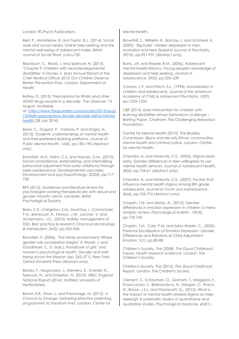London: RCPsych Publications.

Best, P., Manktelow, R. and Taylor, B.J., (2014). Social work and social media: Online help-seeking and the mental well-being of adolescent males. *British Journal of Social Work*, p.bcu130.

Blackburn, C., Read, J. and Spencer, N. (2013). 'Chapter 9: Children with neurodevelopmental disabilities' in Davies, S. (ed.) *Annual Report of the Chief Medical Officer 2012: Our Children Deserve Better: Prevention Pays.* London: Department of Health.

Boffey, D. (2015) 'Prescriptions for Ritalin and other ADHD drugs double in a decade', *The Observer*, 15 August. Available

at: [https://www.theguardian.com/society/2015/aug/](https://www.theguardian.com/society/2015/aug/15/ritalin-prescriptions-double-decade-adhd-mental-health) [15/ritalin-prescriptions-double-decade-adhd-mental](https://www.theguardian.com/society/2015/aug/15/ritalin-prescriptions-double-decade-adhd-mental-health)[health](https://www.theguardian.com/society/2015/aug/15/ritalin-prescriptions-double-decade-adhd-mental-health) [28 July 2016].

Bone, C., Dugard, P., Vostanis, P. and Dogra, N., (2015). Students' understandings of mental health and their preferred learning platforms. *Journal of Public Mental Health*, *14*(4), pp.185–195 (Abstract only).

Bornstein, M.H., Hahn, C.S. and Haynes, O.M., (2010). Social competence, externalizing, and internalizing behavioral adjustment from early childhood through early adolescence: Developmental cascades. *Development and psychopathology*, *22*(04), pp.717- 735.

BPS (2012). *Guidelines and literature review for psychologists working therapeutically with sexual and gender minority clients.* Leicester: British Psychological Society.

Brain, C.E., Creighton, S.M., Mushtaq, I., Carmichael, P.A., Barnicoat, A., Honour, J.W., Larcher, V. and Achermann, J.C., (2010). Holistic management of DSD. *Best practice & research Clinical endocrinology & metabolism*, *24*(2), pp.335-354.

Bronstein, P. (2006). 'The family environment: Where gender role socialization begins' in Worell, J. and Goodheart, C. D. (eds.), *Handbook of girls' and women's psychological health: Gender and wellbeing across the lifespan* (pp. 262–271). New York: Oxford University Press (Abstract only).

Brooks, F., Magnusson, J., Klemera, E., Chester, K., Spencer, N., and Smeeton, N. (2015). *HBSC England National Report (2014).* Hatfield: University of Hertfordshire.

Brown, E.R., Khan, L. and Parsonage, M. (2012). *A Chance to Change: Delivering effective parenting programmes to transform lives.* London: Centre for

Mental Health.

Brownhill, S., Wilhelm, K., Barclay, L. and Schmied, V., (2005). 'Big build': hidden depression in men. *Australian and New Zealand Journal of Psychiatry*, *39*(10), pp.921-931 (Abstract only).

Burns, J.R. and Rapee, R.M., (2006). Adolescent mental health literacy: Young people's knowledge of depression and help seeking. *Journal of adolescence*, *29*(2), pp.225–239.

Campo, J.V. and Fritsch, S.L., (1994). Somatization in children and adolescents. *Journal of the American Academy of Child & Adolescent Psychiatry*, *33*(9), pp.1223–1235.

CBF (2014). *Early Intervention for children with learning disabilities whose behaviours challenge – Briefing Paper.* Chatham: The Challenging Behaviour Foundation.

Centre for Mental Health (2013). *The Bradley Commission: Black and Minority Ethnic communities, mental health and criminal justice.* London: Centre for Mental Health.

Chandra, A. and Minkovitz, C.S., (2006). Stigma starts early: Gender differences in teen willingness to use mental health services. *Journal of Adolescent Health*, *38*(6), pp.754-e1 (Abstract only).

Chandra, A. and Minkovitz, C.S., (2007). Factors that influence mental health stigma among 8th grade adolescents. *Journal of Youth and Adolescence*, *36*(6), pp.763-774 (Abstract only).

Chaplin, T.M. and Aldao, A., (2013). Gender differences in emotion expression in children: a metaanalytic review. *Psychological bulletin*, *139*(4), pp.735-765.

Chaplin, T.M., Cole, P.M. and Zahn-Waxler, C., (2005). Parental Socialization of Emotion Expression: Gender Differences and Relations to Child Adjustment. *Emotion*, *5*(1), pp.80-88.

Children's Society, The (2008). *The Good Childhood Inquiry: health research evidence.* London: The Children's Society.

Children's Society, The (2015). *The Good Childhood Report.* London: The Children's Society.

Clement, S., Schauman, O., Graham, T., Maggioni, F., Evans-Lacko, S., Bezborodovs, N., Morgan, C., Rüsch, N., Brown, J.S.L. and Thornicroft, G., (2015). What is the impact of mental health-related stigma on helpseeking? A systematic review of quantitative and qualitative studies. *Psychological medicine*, *45*(01),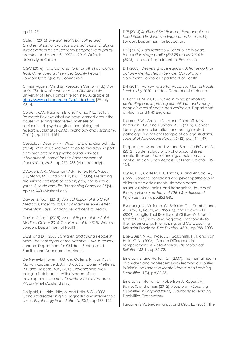#### pp.11–27.

Cole, T. (2015). *Mental Health Difficulties and Children at Risk of Exclusion from Schools in England: A review from an educational perspective of policy, practice and research, 1997 to 2015.* Oxford: University of Oxford.

CQC (2016). *Tavistock and Portman NHS Foundation Trust: Other specialist services Quality Report.* London: Care Quality Commission.

Crimes Against Children Research Center (n.d.). *Key data: The Juvenile Victimization Questionnaire*. University of New Hampshire [online]. Available at: <http://www.unh.edu/ccrc/jvq/index.html> [28 July 2016].

Culbert, K.M., Racine, S.E. and Klump, K.L., (2015). Research Review: What we have learned about the causes of eating disorders–a synthesis of sociocultural, psychological, and biological research. *Journal of Child Psychology and Psychiatry*, *56*(11), pp.1141–1164.

Cusack, J., Deane, F.P., Wilson, C.J. and Ciarrochi, J., (2004). Who influence men to go to therapy? Reports from men attending psychological services. *International Journal for the Advancement of Counselling*, *26*(3), pp.271–283 (Abstract only).

D'Augelli, A.R., Grossman, A.H., Salter, N.P., Vasey, J.J., Starks, M.T. and Sinclair, K.O., (2005). Predicting the suicide attempts of lesbian, gay, and bisexual youth. *Suicide and Life-Threatening Behavior*, *35*(6), pp.646-660 (Abstract only).

Davies, S. (ed.) (2013). *Annual Report of the Chief Medical Officer 2012: Our Children Deserve Better: Prevention Pays.* London: Department of Health.

Davies, S. (ed.) (2015). *Annual Report of the Chief Medical Officer 2014: The Health of the 51%: Women.*  London: Department of Health.

DCSF and DH (2008). *Children and Young People in Mind: The final report of the National CAMHS review.* London: Department for Children, Schools and Families and Department of Health.

De Neve–Enthoven, N.G. de, Callens, N., van Kuyk, M., van Kuppenveld, J.H., Drop, S.L., Cohen–Kettenis, P.T. and Dessens, A.B., (2016). Psychosocial wellbeing in Dutch adults with disorders of sex development. *Journal of psychosomatic research*, *83*, pp.57-64 (Abstract only).

Delligatti, N., Akin-Little, A. and Little, S.G., (2003). Conduct disorder in girls: Diagnostic and intervention issues. *Psychology in the Schools*, *40*(2), pp.183–192.

DfE (2014) *Statistical First Release: Permanent and Fixed Period Exclusions in England: 2013 to (2014).* London: Department for Education.

DfE (2015) *Main tables: SFR 36/2015, Early years foundation stage profile (EYFSP) results: 2014 to (2015).* London: Department for Education.

DH (2003). *Delivering race equality: A framework for action – Mental Health Services Consultation Document.* London: Department of Health.

DH (2014). *Achieving Better Access to Mental Health Services by 2020.* London: Department of Health.

DH and NHSE (2015). *Future in mind: promoting, protecting and improving our children and young people's mental health and wellbeing.* Department of Health and NHS England.

Diemer, E.W., Grant, J.D., Munn-Chernoff, M.A., Patterson, D.A. and Duncan, A.E., (2015). Gender identity, sexual orientation, and eating-related pathology in a national sample of college students. *Journal of Adolescent Health*, *57*(2), pp.144–149.

Drapeau, A., Marchand, A. and Beaulieu-Prévost, D., (2012). Epidemiology of psychological distress, mental illnesses–Understanding, prediction and control. InTech Open Access Publisher, Croatia, 105– 134.

Egger, H.L., Costello, E.J., Erkanli, A. and Angold, A., (1999). Somatic complaints and psychopathology in children and adolescents: stomach aches, musculoskeletal pains, and headaches. *Journal of the American Academy of Child & Adolescent Psychiatry*, *38*(7), pp.852-860.

Eisenberg, N., Valiente, C., Spinrad, T.L., Cumberland, A., Liew, J., Reiser, M., Zhou, Q. and Losoya, S.H., (2009). Longitudinal Relations of Children's Effortful Control, Impulsivity, and Negative Emotionality to Their Externalizing, Internalizing, and Co-Occurring Behavior Problems. *Dev Psychol*, *45*(4), pp.988–1008.

Else-Quest, N.M., Hyde, J.S., Goldsmith, H.H. and Van Hulle, C.A., (2006). Gender Differences in Temperament: A Meta-Analysis. *Psychological Bulletin*, *132*(1), pp.33-72.

Emerson, E. and Hatton, C., (2007). The mental health of children and adolescents with learning disabilities in Britain. *Advances in Mental Health and Learning Disabilities*, *1*(3), pp.62-63.

Emerson E., Hatton C., Robertson J., Roberts H., Baines S. and others (2012). *People with Learning Disabilities in England (2011).* Cambridge: Learning Disabilities Observatory.

Faraone, S.V., Biederman, J. and Mick, E., (2006). The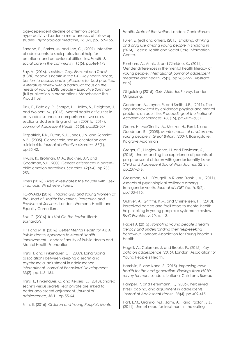age-dependent decline of attention deficit hyperactivity disorder: a meta-analysis of follow-up studies. *Psychological medicine*, *36*(02), pp.159–165.

Farrand, P., Parker, M. and Lee, C., (2007). Intention of adolescents to seek professional help for emotional and behavioural difficulties. *Health & social care in the community*, *15*(5), pp.464-473.

Fay, V. (2016). *'Lesbian, Gay, Bisexual and Trans\* (LGBT) people's health in the UK – key health needs, barriers to access, and implications for best practice: A literature review with a particular focus on the needs of young LGBT people – Executive Summary* (full publication in preparation). Manchester: The Proud Trust.

Fink, E., Patalay, P., Sharpe, H., Holley, S., Deighton, J. and Wolpert, M., (2015). Mental health difficulties in early adolescence: a comparison of two crosssectional studies in England from 2009 to (2014). *Journal of Adolescent Health*, *56*(5), pp.502-507.

Fitzpatrick, K.K., Euton, S.J., Jones, J.N. and Schmidt, N.B., (2005). Gender role, sexual orientation and suicide risk. *Journal of affective disorders*, *87*(1), pp.35-42.

Fivush, R., Brotman, M.A., Buckner, J.P. and Goodman, S.H., 2000. Gender differences in parent– child emotion narratives. *Sex roles*, *42*(3-4), pp.233– 253.

Fixers (2016). *Fixers investigates: the trouble with…sex in schools.* Winchester: Fixers.

FORWARD (2016). *Placing Girls and Young Women at the Heart of Health: Prevention, Protection and Provision of Services.* London: Women's Health and Equality Consortium.

Fox, C. (2016). *It's Not On The Radar.* Ilford: Barnardo's.

FPH and MHF (2016). *Better Mental Health for All: A Public Health Approach to Mental Health Improvement*. London: Faculty of Public Health and Mental Health Foundation.

Frijns, T. and Finkenauer, C., (2009). Longitudinal associations between keeping a secret and psychosocial adjustment in adolescence. *International Journal of Behavioral Development*, 33(2), pp.145–154.

Frijns, T., Finkenauer, C. and Keijsers, L., (2013). Shared secrets versus secrets kept private are linked to better adolescent adjustment. *Journal of adolescence*, *36*(1), pp.55-64.

Frith, E. (2016). *Children and Young People's Mental* 

*Health: State of the Nation.* London: CentreForum.

Fuller, E. (ed) and others. (2015) *Smoking, drinking and drug use among young people in England in (2014).* Leeds: Health and Social Care Information Centre.

Furnham, A., Annis, J. and Cleridou, K., (2014). Gender differences in the mental health literacy of young people. *International journal of adolescent medicine and health*, *26*(2), pp.283–292 (Abstract only).

Girlguiding (2015). *Girls' Attitudes Survey.* London: Girlguiding.

Goodman, A., Joyce, R. and Smith, J.P., (2011). The long shadow cast by childhood physical and mental problems on adult life. *Proceedings of the National Academy of Sciences*, *108*(15), pp.6032-6037.

Green, H., McGinnity, Á., Meltzer, H., Ford, T. and Goodman, R., (2005). *Mental health of children and young people in Great Britain, (2004).* Basingstoke: Palgrave Macmillan

Gregor, C., Hingley-Jones, H. and Davidson, S., (2015). Understanding the experience of parents of pre-pubescent children with gender identity issues. *Child and Adolescent Social Work Journal*, *32*(3), pp.237–246.

Grossman, A.H., D'augelli, A.R. and Frank, J.A., (2011). Aspects of psychological resilience among transgender youth. *Journal of LGBT Youth*, *8*(2), pp.103–115.

Gulliver, A., Griffiths, K.M. and Christensen, H., (2010). Perceived barriers and facilitators to mental health help-seeking in young people: a systematic review. *BMC Psychiatry*, *10*, p.113.

Hagell A (2015) *Promoting young people's health literacy and understanding their help-seeking behaviour.* London: Association for Young People's Health.

Hagell, A., Coleman, J. and Brooks, F., (2015). *Key data on adolescence (2015).* London: Association for Young People's Health.

Hamblin, E. and Kane, S. (2015). *Improving male health for the next generation: Findings from NCB's survey for men.* London: National Children's Bureau.

Hampel, P. and Petermann, F., (2006). Perceived stress, coping, and adjustment in adolescents. *Journal of Adolescent Health*, *38*(4), pp.409-415.

Hart, L.M., Granillo, M.T., Jorm, A.F. and Paxton, S.J., (2011). Unmet need for treatment in the eating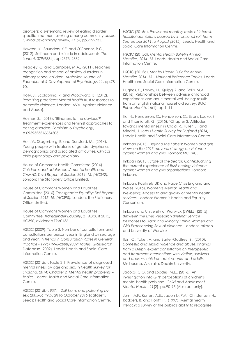disorders: a systematic review of eating disorder specific treatment seeking among community cases. *Clinical psychology review*, *31*(5), pp.727-735.

Hawton, K., Saunders, K.E. and O'Connor, R.C., (2012). Self-harm and suicide in adolescents. *The Lancet*, *379*(9834), pp.2373–2382.

Headley, C. and Campbell, M.A., (2011). Teachers' recognition and referral of anxiety disorders in primary school children. *Australian Journal of Educational & Developmental Psychology*, *11*, pp.78- 90.

Holly, J., Scalabrino, R. and Woodward, B. (2012). *Promising practices*: *Mental health trust responses to domestic violence*. London: AVA (Against Violence and Abuse).

Holmes, S., (2016). 'Blindness to the obvious'? Treatment experiences and feminist approaches to eating disorders. *Feminism & Psychology*, p.0959353516654503.

Holt, V., Skagerberg, E. and Dunsford, M., (2014). Young people with features of gender dysphoria: Demographics and associated difficulties. *Clinical child psychology and psychiatry*.

House of Commons Health Committee (2014). *Children's and adolescents' mental health and CAMHS: Third Report of Session 2014–15. (HC342).* London: The Stationery Office Limited.

House of Commons Women and Equalities Committee (2016). *Transgender Equality: First Report of Session 2015–16. (HC390).* London: The Stationery Office Limited.

House of Commons Women and Equalities Committee, *Transgender Equality*, 21 August 2015, HC390, evidence TRA0156

HSCIC (2009). Table 3: Number of consultations and consultations per person-year in England by sex, age and year, in *Trends in Consultation Rates in General Practice - 1995/1996–2008/2009: Tables*. QResearch Database (2009). Leeds: Health and Social Care Information Centre.

HSCIC (2015a). Table 2.1: Prevalence of diagnosed mental illness, by age and sex, in *Health Survey for England, 2014: Chapter 2, Mental health problems – tables.* Leeds: Health and Social Care Information Centre.

HSCIC (2015b). *9571 - Self harm and poisoning by sex: 2005-06 through to October 2015* [dataset]. Leeds: Health and Social Care Information Centre. HSCIC (2015c). *Provisional monthly topic of interest: hospital admissions caused by intentional self-harm - September 2014 to August (2015).* Leeds: Health and Social Care Information Centre.

HSCIC (2015d), *Mental Health Bulletin Annual Statistics, 2014–15.* Leeds: Health and Social Care Information Centre.

HSCIC (2015e). *Mental Health Bulletin: Annual Statistics 2014–15 – National Reference Tables.* Leeds: Health and Social Care Information Centre.

Hughes, K., Lowey, H., Quigg, Z. and Bellis, M.A., (2016). Relationships between adverse childhood experiences and adult mental well-being: results from an English national household survey. *BMC Public Health*, *16*(1), pp.1–11.

Ilic, N., Henderson, C., Henderson, C., Evans-Lacko, S. and Thornicroft, G. (2015). 'Chapter 3: Attitudes towards mental illness' in Craig, R., Fuller, E., and Mindell, J. (eds.) *Health Survey for England (2014).* Leeds: Health and Social Care Information Centre.

Imkaan (2013). *Beyond the Labels: Women and girls' views on the 2013 mayoral strategy on violence against women and girls.* London: MOPAC.

Imkaan (2015). *State of the Sector: Contextualising the current experiences of BME ending violence against women and girls organisations.* London: Imkaan.

Imkaan, Positively UK and Rape Crisis England and Wales (2016). *Women's Mental Health and Wellbeing: Access to and quality of mental health services.* London: Women's Health and Equality Consortium.

Imkaan and University of Warwick (SWELL) (2015). *Between the Lines Research Briefing: Service Responses to Black and Minority Ethnic Women and Girls Experiencing Sexual Violence.* London: Imkaan and University of Warwick.

Itzin, C., Taket, A. and Barter-Godfrey, S., (2010). *Domestic and sexual violence and abuse: findings from a Delphi expert consultation on therapeutic and treatment interventions with victims, survivors and abusers, children adolescents, and adults.* Melbourne, Australia: Deakin University.

Jacobs, C.O. and Loades, M.E., (2016). An investigation into GPs' perceptions of children's mental health problems. *Child and Adolescent Mental Health*, *21*(2), pp.90-95 (Abstract only).

Jorm, A.F., Korten, A.E., Jacomb, P.A., Christensen, H., Rodgers, B. and Pollitt, P., (1997). Mental health literacy: a survey of the public's ability to recognise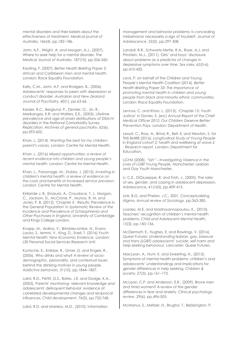mental disorders and their beliefs about the effectiveness of treatment. *Medical journal of Australia*, *166*(4), pp.182–186.

Jorm, A.F., Wright, A. and Morgan, A.J., (2007). Where to seek help for a mental disorder. *The Medical Journal of Australia*, *187*(10), pp.556-560.

Keating, F. (2007). *Better Health Briefing Paper 5: African and Caribbean men and mental health.*  London: Race Equality Foundation.

Kelly, C.M., Jorm, A.F. and Rodgers, B., (2006). Adolescents' responses to peers with depression or conduct disorder. *Australian and New Zealand Journal of Psychiatry*, *40*(1), pp.63-66.

Kessler, R.C., Berglund, P., Demler, O., Jin, R., Merikangas, K.R. and Walters, E.E., (2005). Lifetime prevalence and age-of-onset distributions of DSM-IV disorders in the National Comorbidity Survey Replication. *Archives of general psychiatry*, *62*(6), pp.593-602.

Khan, L. (2014). *Wanting the best for my children: parent's voices.* London: Centre for Mental Health.

Khan, L. (2016) *Missed opportunities: a review of recent evidence into children and young people's mental health.* London: Centre for Mental Health.

Khan, L., Parsonage, M., Stubbs, J. (2015). *Investing in children's mental health: a review of evidence on the costs and benefits of increased service provision.* London: Centre for Mental Health.

Kirkbride J. B., Errazuriz, A., Croudace, T. J., Morgan, C., Jackson, D., McCrone, P., Murray, R. M. and Jones, P. B. (2012). 'Chapter 5 - Results: Prevalence in the General Population' in *Systematic Review of the Incidence and Prevalence of Schizophrenia and Other Psychoses in England*. University of Cambridge and Kings College London.

Knapp, M., Ardino, V., Brimblecombe, N., Evans-Lacko, S., Iemmi, V., King, D., Snell, T. (2016) *Youth Mental Health: New Economic Evidence.* London: LSE Personal Social Services Research Unit.

Kuntsche, E., Knibbe, R., Gmel, G. and Engels, R., (2006). Who drinks and why? A review of sociodemographic, personality, and contextual issues behind the drinking motives in young people. *Addictive behaviors*, *31*(10), pp.1844–1857.

Laird, R.D., Pettit, G.S., Bates, J.E. and Dodge, K.A., (2003). Parents' monitoring‐ relevant knowledge and adolescents' delinquent behavior: evidence of correlated developmental changes and reciprocal influences. *Child development*, *74*(3), pp.752-768.

Laird, R.D. and Marrero, M.D., (2010). Information

management and behavior problems: Is concealing misbehavior necessarily a sign of trouble?. *Journal of Adolescence*, *33*(2), pp.297-308.

Landoll, R.R., Schwartz-Mette, R.A., Rose, A.J. and Prinstein, M.J., (2011). Girls' and boys' disclosure about problems as a predictor of changes in depressive symptoms over time. *Sex roles*, *65*(5-6), pp.410-420.

Lavis, P. on behalf of the Children and Young People's Mental Health Coalition (2014). *Better Health Briefing Paper 33: The importance of promoting mental health in children and young people from black and minority ethnic communities.* London: Race Equality Foundation.

Lennox, C. and Khan, L. (2013). 'Chapter 12: Youth Justice' in Davies, S. (ed.) *Annual Report of the Chief Medical Officer 2012: Our Children Deserve Better: Prevention Pays.* London: Department of Health.

Lessof, C., Ross, A., Brind, R., Bell, E. and Newton, S. for TNS BMRB (2016). *Longitudinal Study of Young People in England cohort 2: health and wellbeing at wave 2 - Research report.* London: Department for Education.

LGYM (2008). *"Ssh" – Investigating Violence in the Lives of LGBT Young People.* Manchester: Lesbian and Gay Youth Manchester.

Li, C.E., DiGiuseppe, R. and Froh, J., (2005). The roles of sex, gender, and coping in adolescent depression. *Adolescence*, *41*(163), pp.409-415.

Link, B.G. and Phelan, J.C., 2001. Conceptualizing stigma. *Annual review of Sociology*, pp.363-385.

Loades, M.E. and Mastroyannopoulou, K., (2010). Teachers' recognition of children's mental health problems. *Child and Adolescent Mental Health*, *15*(3), pp.150–156.

McDermott, E., Hughes, E. and Rawlings, V. (2016). *Queer Futures: Understanding lesbian, gay, bisexual and trans (LGBT) adolescents' suicide, self-harm and help-seeking behaviour.* Lancaster: Queer Futures.

MacLean, A., Hunt, K. and Sweeting, H., (2013). Symptoms of mental health problems: children's and adolescents' understandings and implications for gender differences in help seeking. *Children & society*, *27*(3), pp.161–173.

McLean, C.P. and Anderson, E.R., (2009). Brave men and timid women? A review of the gender differences in fear and anxiety. *Clinical psychology review*, *29*(6), pp.496-505.

McManus, S., Meltzer, H., Brugha, T., Bebbington, P.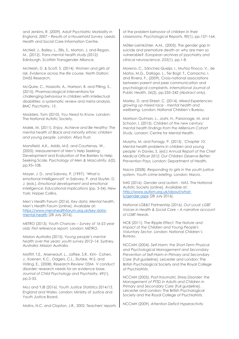and Jenkins, R. (2009). *Adult Psychiatric Morbidity in England, 2007 – Results of a Household Survey.* Leeds: Health and Social Care Information Centre.

McNeil, J., Bailey, L., Ellis, S., Morton, J. and Regan, M., (2012). *Trans mental health study (2012).* Edinburgh, Scottish Transgender Alliance.

McNeish, D. & Scott, S. (2014). *Women and girls at risk. Evidence across the life course.* North Dalton: DMSS Research.

McQuire, C., Hassiotis, A., Harrison, B. and Pilling, S., (2015). Pharmacological interventions for challenging behaviour in children with intellectual disabilities: a systematic review and meta-analysis. *BMC Psychiatry*, *15*.

Madders, Tom (2010). *You Need to Know.* London: The National Autistic Society.

Malek, M. (2011). *Enjoy, Achieve and Be Healthy: The mental health of Black and minority ethnic children and young people.* London: Afiya Trust.

Mansfield, A.K., Addis, M.E. and Courtenay, W., (2005). Measurement of Men's Help Seeking: Development and Evaluation of the Barriers to Help Seeking Scale. *Psychology of Men & Masculinity*, *6*(2), pp.95–108.

Mayer, J. D., and Salovey, P. (1997). 'What is emotional intelligence?' in Salovey, P. and Sluyter, D. J. (eds.), *Emotional development and emotional intelligence: Educational implications* (pp. 3-34). New York: Harper Collins.

Men's Health Forum (2016). *Key data: Mental health*. Men's Health Forum [online]. Available at: [https://www.menshealthforum.org.uk/key-data](https://www.menshealthforum.org.uk/key-data-mental-health)[mental-health](https://www.menshealthforum.org.uk/key-data-mental-health) [28 July 2016].

METRO (2013). *Youth Chances – Survey of 16*‐*25 year olds: First reference report.* London: METRO.

Mission Australia (2015). *Young people's mental health over the years: youth survey 2012–14*. Sydney, Australia: Mission Australia.

Moffitt, T.E., Arseneault, L., Jaffee, S.R., Kim‐ Cohen, J., Koenen, K.C., Odgers, C.L., Slutske, W.S. and Viding, E., (2008). Research Review: DSM‐ V conduct disorder: research needs for an evidence base. *Journal of Child Psychology and Psychiatry*, *49*(1), pp.3-33.

MoJ and YJB (2016). *Youth Justice Statistics 2014/15, England and Wales.* London: Ministry of Justice and Youth Justice Board.

Molins, N.C. and Clopton, J.R., 2002. Teachers' reports

of the problem behavior of children in their classrooms. *Psychological Reports*, *90*(1), pp.157–164.

Möller-Leimkühler, A.M., (2003). The gender gap in suicide and premature death or: why are men so vulnerable?. *European archives of psychiatry and clinical neuroscience*, *253*(1), pp.1-8.

Moreno, C., Sánchez-Queija, I., Muñoz-Tinoco, V., de Matos, M.G., Dallago, L., Ter Bogt, T., Camacho, I. and Rivera, F., (2009). Cross-national associations between parent and peer communication and psychological complaints. *International Journal of Public Health*, *54*(2), pp.235–242 (Abstract only).

Morley, D. and Street, C. (2014). *Mixed Experiences: growing up mixed race - mental health and wellbeing.* London: National Children's Bureau.

Morrison Gutman, L., Joshi, H., Parsonage, M. and Schoon, I. (2015). *Children of the new century: mental health findings from the Millenium Cohort Study.* London: Centre for Mental Health.

Murphy, M. and Fonagy, P. (2013). 'Chapter 10: Mental health problems in children and young people' in Davies, S. (ed.) *Annual Report of the Chief Medical Officer 2012: Our Children Deserve Better: Prevention Pays.* London: Department of Health.

Nacro (2008). *Responding to girls in the youth justice system. Youth crime briefing.* London: Nacro.

NAS (2016). *Gender and autism - NAS*. The National Autistic Society [online]. Available at: [http://www.autism.org.uk/about/what](http://www.autism.org.uk/about/what-is/gender.aspx)[is/gender.aspx](http://www.autism.org.uk/about/what-is/gender.aspx) [28 July 2016].

National LGB&T Partnership (2016). *Out Loud: LGBT Voices in Health & Social Care – A narrative account of LGBT Needs.*

NCB (2011). *The Ripple Effect: The Nature and Impact of the Children and Young People's Voluntary Sector.* London: National Children's Bureau.

NCCMH (2004). *Self-Harm: the Short-Term Physical and Psychological Management and Secondary Prevention of Self-Harm in Primary and Secondary Care* [Full guideline]. Leicester and London: The British Psychological Society and the Royal College of Psychiatrists.

NCCMH (2005). *Post-traumatic Stress Disorder: the Management of PTSD in Adults and Children in Primary and Secondary Care* [Full guideline]. Leicester and London: The British Psychological Society and the Royal College of Psychiatrists.

NCCMH (2009). *Attention Deficit Hyperactivity*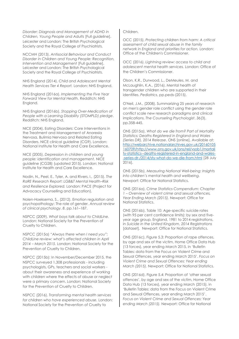*Disorder: Diagnosis and Management of ADHD in Children, Young People and Adults* [Full guideline]. Leicester and London: The British Psychological Society and the Royal College of Psychiatrists.

NCCMH (2013). *Antisocial Behaviour and Conduct Disorder in Children and Young People: Recognition, Intervention and Management* [Full guideline]. Leicester and London: The British Psychological Society and the Royal College of Psychiatrists.

NHS England (2014). *Child and Adolescent Mental Health Services Tier 4 Report.* London: NHS England.

NHS England (2016a). *Implementing the Five Year Forward View for Mental Health.* Redditch: NHS England.

NHS England (2016b). *Stopping Over-Medication of People with a Learning Disability (STOMPLD) pledge*. Redditch: NHS England.

NICE (2004). Eating Disorders: Core Interventions in the Treatment and Management of Anorexia Nervosa, Bulimia Nervosa and Related Eating Disorders. NICE clinical guideline (CG9). London: National Institute for Health and Care Excellence.

NICE (2005). *Depression in children and young people: identification and management.* NICE guideline (CG28) (updated 2015). London: National Institute for Health and Care Excellence.

Nodin, N., Peel, E., Tyler, A. and Rivers, I., (2015). *The RaRE Research Report: LGB&T Mental Health–Risk and Resilience Explored.* London: PACE (Project for Advocacy Counselling and Education).

Nolen-Hoeksema, S., (2012). Emotion regulation and psychopathology: The role of gender. *Annual review of clinical psychology*, *8*, pp.161–187.

NSPCC (2009). *What boys talk about to ChildLine.* London: National Society for the Prevention of Cruelty to Children.

NSPCC (2015a) *"Always there when I need you": ChildLine review: what's affected children in April 2014 – March 2015.* London: National Society for the Prevention of Cruelty to Children.

NSPCC (2015b): In November/December 2015, the NSPCC surveyed 1,308 professionals - including psychologists, GPs, teachers and social workers about their awareness and experience of working with children where the effects of abuse or neglect were a primary concern. London: National Society for the Prevention of Cruelty to Children.

NSPCC (2016). *Transforming mental health services for children who have experienced abuse.* London: National Society for the Prevention of Cruelty to

#### Children.

OCC (2015). *Protecting children from harm: A critical assessment of child sexual abuse in the family network in England and priorities for action.* London: Office of the Children's Commissioner.

OCC (2016). *Lightning review: access to child and adolescent mental health services.* London: Office of the Children's Commissioner.

Olson, K.R., Durwood, L., DeMeules, M. and McLaughlin, K.A., (2016). Mental health of transgender children who are supported in their identities. *Pediatrics*, pp.peds-(2015).

O'Neil, J.M., (2008). Summarizing 25 years of research on men's gender role conflict using the gender role conflict scale new research paradigms and clinical implications. *The Counseling Psychologist*, *36*(3), pp.358-445.

ONS (2015a). *What do we die from? Part of Mortality Statistics: Deaths Registered in England and Wales (Series DR), 2014 Release*. ONS [online]. Available at: [http://webarchive.nationalarchives.gov.uk/20160105](http://webarchive.nationalarchives.gov.uk/20160105160709/http:/www.ons.gov.uk/ons/rel/vsob1/mortality-statistics--deaths-registered-in-england-and-wales--series-dr-/2014/sty-what-do-we-die-from.html) [160709/http://www.ons.gov.uk/ons/rel/vsob1/mortali](http://webarchive.nationalarchives.gov.uk/20160105160709/http:/www.ons.gov.uk/ons/rel/vsob1/mortality-statistics--deaths-registered-in-england-and-wales--series-dr-/2014/sty-what-do-we-die-from.html) [ty-statistics--deaths-registered-in-england-and-wales-](http://webarchive.nationalarchives.gov.uk/20160105160709/http:/www.ons.gov.uk/ons/rel/vsob1/mortality-statistics--deaths-registered-in-england-and-wales--series-dr-/2014/sty-what-do-we-die-from.html) [-series-dr-/2014/sty-what-do-we-die-from.html](http://webarchive.nationalarchives.gov.uk/20160105160709/http:/www.ons.gov.uk/ons/rel/vsob1/mortality-statistics--deaths-registered-in-england-and-wales--series-dr-/2014/sty-what-do-we-die-from.html) [28 July 2016].

ONS (2015b). *Measuring National Well-being: Insights into children's mental health and wellbeing.* Newport: Office for National Statistics.

ONS (2016a). *Crime Statistics Compendium: Chapter 1 – Overview of violent crime and sexual offences, Year Ending March (2015).* Newport: Office for National Statistics.

ONS (2016b). Table 10: Age-specific suicide rates (with 95 per cent confidence limits): by sex and fiveyear age group, England, 1981 to 2014 registrations, in *Suicide in the United Kingdom, 2014 Registrations*  [dataset]*.* Newport: Office for National Statistics.

ONS (2016c). Figure 5.3: Proportion of rape offences, by age and sex of the victim, Home Office Data Hub (13 forces), year ending March 2015, in 'Bulletin Tables: data from the Focus on Violent Crime and Sexual Offences, year ending March 2015'. *Focus on Violent Crime and Sexual Offences: Year ending March (2015).* Newport: Office for National Statistics.

ONS (2016d). Figure 5.4: Proportion of 'other sexual offences', by age and sex of the victim, Home Office Data Hub (13 forces), year ending March (2015). in 'Bulletin Tables: data from the Focus on Violent Crime and Sexual Offences, year ending March 2015'. *Focus on Violent Crime and Sexual Offences: Year ending March (2015).* Newport: Office for National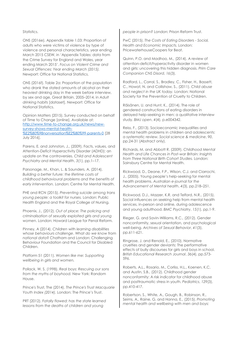#### Statistics.

ONS (2016e). Appendix table 1.03: Proportion of adults who were victims of violence by type of violence and personal characteristics, year ending March 2015 CSEW, in 'Appendix Tables: data from the Crime Survey for England and Wales, year ending March 2015'. *Focus on Violent Crime and Sexual Offences: Year ending March (2015).* Newport: Office for National Statistics.

ONS (2016f). Table 2a: Proportion of the population who drank the stated amounts of alcohol on their heaviest drinking day in the week before interview, by sex and age, Great Britain, 2005–2014, in *Adult drinking habits* [dataset]. Newport: Office for National Statistics.

Opinion Matters (2015). Survey conducted on behalf of Time to Change [online]. Available at: [http://www.time-to-change.org.uk/news/new](http://www.time-to-change.org.uk/news/new-survey-shows-mental-health-%E2%80%98nonversation%E2%80%99-parents-0)[survey-shows-mental-health-](http://www.time-to-change.org.uk/news/new-survey-shows-mental-health-%E2%80%98nonversation%E2%80%99-parents-0) [%E2%80%98nonversation%E2%80%99-parents-0](http://www.time-to-change.org.uk/news/new-survey-shows-mental-health-%E2%80%98nonversation%E2%80%99-parents-0) [28 July 2016].

Parens, E. and Johnston, J., (2009). Facts, values, and Attention-Deficit Hyperactivity Disorder (ADHD): an update on the controversies. *Child and Adolescent Psychiatry and Mental Health*, *3*(1), pp.1–17.

Parsonage, M., Khan, L. & Saunders, A. (2014). *Building a better future: the lifetime costs of childhood behavioural problems and the benefits of early intervention.* London: Centre for Mental Health.

PHE and RCN (2015). *Preventing suicide among trans young people: a toolkit for nurses.* London: Public Health England and the Royal College of Nursing.

Phoenix, J., (2012). *Out of place: The policing and criminalisation of sexually exploited girls and young women*. London: Howard League for Penal Reform.

Pinney, A (2014). *Children* with *learning disabilities whose behaviours challenge*. What *do we know* from *national data*? Chatham and London: Challenging Behaviour Foundation and the Council for Disabled Children.

Platform 51 (2011). *Women like me: Supporting wellbeing in girls and women.*

Pollack, W. S. (1998). *Real boys: Rescuing our sons from the myths of boyhood.* New York: Random House.

Prince's Trust, The (2014). *The Prince's Trust Macquarie Youth Index (2014).* London: The Prince's Trust.

PRT (2012). *Fatally flawed: has the state learned lessons from the deaths of children and young* 

*people in prison?* London: Prison Reform Trust.

PwC (2015). *The Costs of Eating Disorders - Social, Health and Economic Impacts.* London: PricewaterhouseCoopers for Beat.

Quinn, P.O. and Madhoo, M., (2014). A review of attention-deficit/hyperactivity disorder in women and girls: uncovering this hidden diagnosis. *Prim Care Companion CNS Disord*, *16*(3).

Radford, L., Corral, S., Bradley, C., Fisher, H., Bassett, C., Howat, N. and Collishaw, S., (2011). *Child abuse and neglect in the UK today.* London: National Society for the Prevention of Cruelty to Children.

Räisänen, U. and Hunt, K., (2014). The role of gendered constructions of eating disorders in delayed help-seeking in men: a qualitative interview study. *BMJ open*, *4*(4), p.e004342.

Reiss, F., (2013). Socioeconomic inequalities and mental health problems in children and adolescents: a systematic review. *Social science & medicine*, *90*, pp.24-31 (Abstract only).

Richards, M. and Abbott R. (2009). *Childhood Mental Health and Life Chances in Post-war Britain: Insights from Three National Birth Cohort Studies.* London: Sainsbury Centre for Mental Health.

Rickwood, D., Deane, F.P., Wilson, C.J. and Ciarrochi, J., (2005). Young people's help-seeking for mental health problems. *Australian e-journal for the Advancement of Mental health*, *4*(3), pp.218–251.

Rickwood, D.J., Mazzer, K.R. and Telford, N.R., (2015). Social influences on seeking help from mental health services, in-person and online, during adolescence and young adulthood. *BMC Psychiatry*, *15*(1), pp.1-9.

Rieger, G. and Savin-Williams, R.C., (2012). Gender nonconformity, sexual orientation, and psychological well-being. *Archives of Sexual Behavior*, *41*(3), pp.611-621.

Ringrose, J. and Renold, E., (2010). Normative cruelties and gender deviants: The performative effects of bully discourses for girls and boys in school. *British Educational Research Journal*, *36*(4), pp.573- 596.

Roberts, A.L., Rosario, M., Corliss, H.L., Koenen, K.C. and Austin, S.B., (2012). Childhood gender nonconformity: A risk indicator for childhood abuse and posttraumatic stress in youth. *Pediatrics*, *129*(3), pp.410-417.

Robertson, S., White, A., Gough, B., Robinson, R., Seims, A., Raine, G. and Hanna, E., (2015). *Promoting mental health and wellbeing with men and boys:*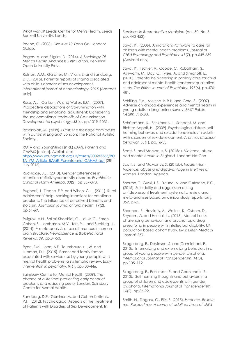*What works?* Leeds: Centre for Men's Health, Leeds Beckett University, Leeds.

Roche, C. (2008). *Like It Is: 10 Years On.* London: Galop.

Rogers, A. and Pilgrim, D. (2014). *A Sociology Of Mental Health And Illness: Fifth Edition.* Berkshire: Open University Press.

Rolston, A.M., Gardner, M., Vilain, E. and Sandberg, D.E., (2015). Parental reports of stigma associated with child's disorder of sex development. *International journal of endocrinology*, *2015* (Abstract only).

Rose, A.J., Carlson, W. and Waller, E.M., (2007). Prospective associations of Co-rumination with friendship and emotional adjustment: Considering the socioemotional trade-offs of Co-rumination. *Developmental psychology*, *43*(4), pp.1019–1031.

Rosenblatt, M. (2008). *I Exist: the message from adults with autism in England.* London: The National Autistic Society.

ROTA and YoungMinds (n.d.) *BAME Parents and CAHMS* [online]. Available at: [http://www.youngminds.org.uk/assets/0002/3363/RO](http://www.youngminds.org.uk/assets/0002/3363/ROTA_YM_Article_BAME_Parents_and_CAHMS.pdf) [TA\\_YM\\_Article\\_BAME\\_Parents\\_and\\_CAHMS.pdf](http://www.youngminds.org.uk/assets/0002/3363/ROTA_YM_Article_BAME_Parents_and_CAHMS.pdf) [28 July 2016].

Rucklidge, J.J., (2010). Gender differences in attention-deficit/hyperactivity disorder. *Psychiatric Clinics of North America*, *33*(2), pp.357-373.

Rughani, J., Deane, F.P. and Wilson, C.J., (2011). Rural adolescents' help‐ seeking intentions for emotional problems: The influence of perceived benefits and stoicism. *Australian journal of rural health*, *19*(2), pp.64-69.

Ruigrok, A.N., Salimi-Khorshidi, G., Lai, M.C., Baron-Cohen, S., Lombardo, M.V., Tait, R.J. and Suckling, J., (2014). A meta-analysis of sex differences in human brain structure. *Neuroscience & Biobehavioral Reviews*, *39*, pp.34-50.

Ryan, S.M., Jorm, A.F., Toumbourou, J.W. and Lubman, D.I., (2015). Parent and family factors associated with service use by young people with mental health problems: a systematic review. *Early intervention in psychiatry*, *9*(6), pp.433-446.

Sainsbury Centre for Mental Health (2009). *The chance of a lifetime: preventing early conduct problems and reducing crime.* London: Sainsbury Centre for Mental Health.

Sandberg, D.E., Gardner, M. and Cohen-Kettenis, P.T., (2012). Psychological Aspects of the Treatment of Patients with Disorders of Sex Development. In

*Seminars in Reproductive Medicine* (Vol. 30, No. 5, pp. 443-452).

Sayal, K., (2006). Annotation: Pathways to care for children with mental health problems. *Journal of Child Psychology and Psychiatry*, *47*(7), pp.649-659 (Abstract only).

Sayal, K., Tischler, V., Coope, C., Robotham, S., Ashworth, M., Day, C., Tylee, A. and Simonoff, E., (2010). Parental help-seeking in primary care for child and adolescent mental health concerns: qualitative study. *The British Journal of Psychiatry*, *197*(6), pp.476- 481.

Schilling, E.A., Aseltine Jr, R.H. and Gore, S., (2007). Adverse childhood experiences and mental health in young adults: a longitudinal survey. *BMC Public Health*, *7*, p.30.

Schützmann, K., Brinkmann, L., Schacht, M. and Richter-Appelt, H., (2009). Psychological distress, selfharming behavior, and suicidal tendencies in adults with disorders of sex development. *Archives of sexual behavior*, *38*(1), pp.16-33.

Scott, S. and McManus, S. (2015a). *Violence, abuse and mental health in England*. London: NatCen.

Scott, S. and McManus, S. (2015b). *Hidden Hurt: Violence, abuse and disadvantage in the lives of women.* London: Agenda.

Sharma, T., Guski, L.S., Freund, N. and Gøtzsche, P.C., (2016). Suicidality and aggression during antidepressant treatment: systematic review and meta-analyses based on clinical study reports. *bmj*, *352*, p.i65.

Sheehan, R., Hassiotis, A., Walters, K., Osborn, D., Strydom, A. and Horsfall, L., (2015). Mental illness, challenging behaviour, and psychotropic drug prescribing in people with intellectual disability: UK population based cohort study. *BMJ: British Medical Journal*, *351*.

Skagerberg, E., Davidson, S. and Carmichael, P., 2013a. Internalizing and externalizing behaviors in a group of young people with gender dysphoria. *International Journal of Transgenderism*, *14*(3), pp.105–112.

Skagerberg, E., Parkinson, R. and Carmichael, P., 2013b. Self-harming thoughts and behaviors in a group of children and adolescents with gender dysphoria. *International Journal of Transgenderism*, *14*(2), pp.86-92.

Smith, N., Dogaru, C., Ellis, F. (2015). *Hear me. Believe me. Respect me. A survey of adult survivors of child*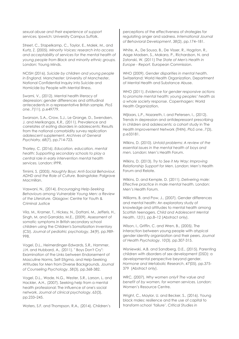*sexual abuse and their experience of support services.* Ipswich: University Campus Suffolk.

Street, C., Stapelkamp, C., Taylor, E., Malek, M., and Kurtz, Z. (2005). *Minority Voices: research into access and acceptability of services for the mental health of young people from Black and minority ethnic groups.* London: Young Minds.

NCISH (2016). *Suicide by children and young people in England.* Manchester: University of Manchester, National Confidential Inquiry into Suicide and Homicide by People with Mental Illness.

Swami, V., (2012). Mental health literacy of depression: gender differences and attitudinal antecedents in a representative British sample. *PloS one*, *7*(11), p.e49779.

Swanson, S.A., Crow, S.J., Le Grange, D., Swendsen, J. and Merikangas, K.R., (2011). Prevalence and correlates of eating disorders in adolescents: Results from the national comorbidity survey replication adolescent supplement. *Archives of General Psychiatry*, *68*(7), pp.714-723.

Thorley, C. (2016). *Education, education, mental health: Supporting secondary schools to play a central role in early intervention mental health services.* London: IPPR.

Timimi, S. (2005). *Naughty Boys: Anti-Social Behaviour, ADHD and the Role of Culture.* Basingstoke: Palgrave Macmillan.

Vaswani, N., (2014). *Encouraging Help-Seeking Behaviours among Vulnerable Young Men: a Review of the Literature.* Glasgow: Centre for Youth & Criminal Justice

Vila, M., Kramer, T., Hickey, N., Dattani, M., Jefferis, H., Singh, M. and Garralda, M.E., (2009). Assessment of somatic symptoms in British secondary school children using the Children's Somatization Inventory (CSI). *Journal of pediatric psychology*, *34*(9), pp.989- 998.

Vogel, D.L., Heimerdinger-Edwards, S.R., Hammer, J.H. and Hubbard, A., (2011). " Boys Don't Cry": Examination of the Links between Endorsement of Masculine Norms, Self-Stigma, and Help-Seeking Attitudes for Men from Diverse Backgrounds. *Journal of Counseling Psychology*, *58*(3), pp.368-382.

Vogel, D.L., Wade, N.G., Wester, S.R., Larson, L. and Hackler, A.H., (2007). Seeking help from a mental health professional: The influence of one's social network. *Journal of clinical psychology*, *63*(3), pp.233–245.

Waters, S.F. and Thompson, R.A., (2014). Children's

perceptions of the effectiveness of strategies for regulating anger and sadness. *International Journal of Behavioral Development*, *38*(2), pp.174–181.

White, A., De Sousa, B., De Visser, R., Hogston, R., Aage Madsen, S., Makara, P., Richardson, N. and Zatonski, W. (2011) *The State of Men's Health in Europe - Report.* European Commission.

WHO (2009). *Gender disparities in mental health.* Switzerland: World Health Organization, Department of Mental Health and Substance Abuse.

WHO (2011). *Evidence for gender responsive actions to promote mental health: young peoples' health as a whole society response.* Copenhagen: World Health Organization.

Wijlaars, L.P., Nazareth, I. and Petersen, I., (2012). Trends in depression and antidepressant prescribing in children and adolescents: a cohort study in The Health Improvement Network (THIN). *PloS one*, *7*(3), p.e33181.

Wilkins, D. (2010). *Untold problems: A review of the essential issues in the mental health of boys and men.* London: Men's Health Forum.

Wilkins, D. (2013). *Try to See it My Way: Improving Relationship Support for Men*. London: Men's Health Forum and Relate.

Wilkins, D. and Kemple, D. (2011). *Delivering male: Effective practice in male mental health.* London: Men's Health Forum.

Williams, B. and Pow, J., (2007). Gender differences and mental health: An exploratory study of knowledge and attitudes to mental health among Scottish teenagers. *Child and Adolescent Mental Health*, *12*(1), pp.8–12 (Abstract only).

Wilson, I., Griffin, C. and Wren, B., (2005). The interaction between young people with atypical gender identity organization and their peers. *Journal of Health Psychology*, *10*(3), pp.307-315.

Wisniewski, A.B. and Sandberg, D.E., (2015). Parenting children with disorders of sex development (DSD): a developmental perspective beyond gender. *Hormone and Metabolic Research*, *47*(05), pp.375- 379 (Abstract only).

WRC, (2007). *Why women only? The value and benefit of by women, for women services.* London: Women's Resource Centre.

Wright, C., Maylor, U. and Becker, S., (2016). Young black males: resilience and the use of capital to transform school 'failure'. *Critical Studies in*